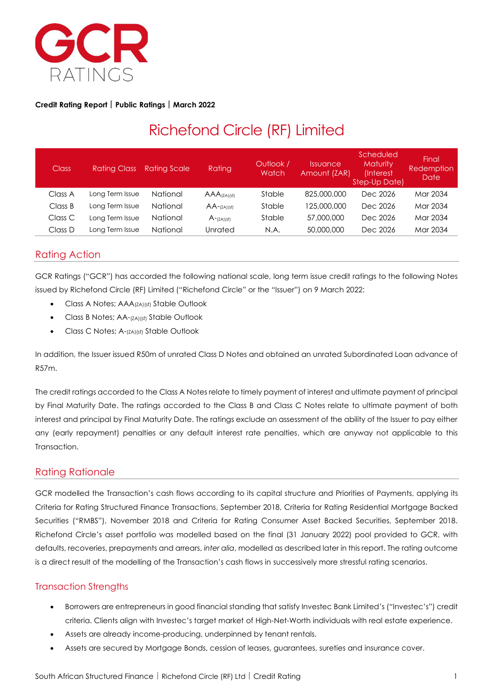

#### **Credit Rating Report Public Ratings March 2022**

# Richefond Circle (RF) Limited

| <b>Class</b> | <b>Ratina Class</b> | <b>Rating Scale</b> | Rating             | Outlook /<br>Watch | <i><u><b>Issuance</b></u></i><br>Amount (ZAR) | Scheduled<br><b>Maturity</b><br>(Interest<br>Step-Up Date) | Final<br>Redemption<br>Date |
|--------------|---------------------|---------------------|--------------------|--------------------|-----------------------------------------------|------------------------------------------------------------|-----------------------------|
| Class A      | Long Term Issue     | National            | $AAA$ (ZA)(sf)     | Stable             | 825,000,000                                   | Dec 2026                                                   | Mar 2034                    |
| Class B      | Long Term Issue     | National            | $AA$ - $(ZA)$ (sf) | Stable             | 125,000,000                                   | Dec 2026                                                   | Mar 2034                    |
| Class C      | Long Term Issue     | National            | $A$ - $(ZA)(sf)$   | Stable             | 57,000,000                                    | Dec 2026                                                   | Mar 2034                    |
| Class D      | Long Term Issue     | National            | Unrated            | N.A.               | 50,000,000                                    | Dec 2026                                                   | Mar 2034                    |

# Rating Action

GCR Ratings ("GCR") has accorded the following national scale, long term issue credit ratings to the following Notes issued by Richefond Circle (RF) Limited ("Richefond Circle" or the "Issuer") on 9 March 2022:

- Class A Notes; AAA(ZA)(sf) Stable Outlook
- Class B Notes; AA-(ZA)(sf) Stable Outlook
- Class C Notes; A-(ZA)(sf) Stable Outlook

In addition, the Issuer issued R50m of unrated Class D Notes and obtained an unrated Subordinated Loan advance of R57m.

The credit ratings accorded to the Class A Notes relate to timely payment of interest and ultimate payment of principal by Final Maturity Date. The ratings accorded to the Class B and Class C Notes relate to ultimate payment of both interest and principal by Final Maturity Date. The ratings exclude an assessment of the ability of the Issuer to pay either any (early repayment) penalties or any default interest rate penalties, which are anyway not applicable to this Transaction.

### Rating Rationale

GCR modelled the Transaction's cash flows according to its capital structure and Priorities of Payments, applying its Criteria for Rating Structured Finance Transactions, September 2018, Criteria for Rating Residential Mortgage Backed Securities ("RMBS"), November 2018 and Criteria for Rating Consumer Asset Backed Securities, September 2018. Richefond Circle's asset portfolio was modelled based on the final (31 January 2022) pool provided to GCR, with defaults, recoveries, prepayments and arrears, *inter alia*, modelled as described later in this report. The rating outcome is a direct result of the modelling of the Transaction's cash flows in successively more stressful rating scenarios.

### Transaction Strengths

- Borrowers are entrepreneurs in good financial standing that satisfy Investec Bank Limited's ("Investec's") credit criteria. Clients align with Investec's target market of High-Net-Worth individuals with real estate experience.
- Assets are already income-producing, underpinned by tenant rentals.
- Assets are secured by Mortgage Bonds, cession of leases, guarantees, sureties and insurance cover.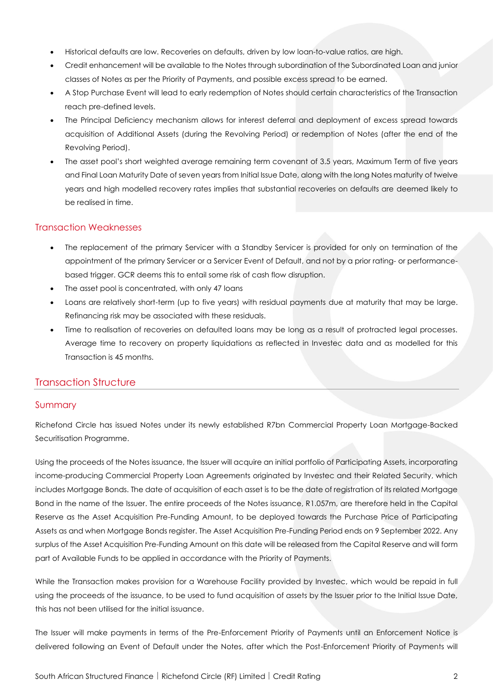- Historical defaults are low. Recoveries on defaults, driven by low loan-to-value ratios, are high.
- Credit enhancement will be available to the Notes through subordination of the Subordinated Loan and junior classes of Notes as per the Priority of Payments, and possible excess spread to be earned.
- A Stop Purchase Event will lead to early redemption of Notes should certain characteristics of the Transaction reach pre-defined levels.
- The Principal Deficiency mechanism allows for interest deferral and deployment of excess spread towards acquisition of Additional Assets (during the Revolving Period) or redemption of Notes (after the end of the Revolving Period).
- The asset pool's short weighted average remaining term covenant of 3.5 years, Maximum Term of five years and Final Loan Maturity Date of seven years from Initial Issue Date, along with the long Notes maturity of twelve years and high modelled recovery rates implies that substantial recoveries on defaults are deemed likely to be realised in time.

#### Transaction Weaknesses

- The replacement of the primary Servicer with a Standby Servicer is provided for only on termination of the appointment of the primary Servicer or a Servicer Event of Default, and not by a prior rating- or performancebased trigger. GCR deems this to entail some risk of cash flow disruption.
- The asset pool is concentrated, with only 47 loans
- Loans are relatively short-term (up to five years) with residual payments due at maturity that may be large. Refinancing risk may be associated with these residuals.
- Time to realisation of recoveries on defaulted loans may be long as a result of protracted legal processes. Average time to recovery on property liquidations as reflected in Investec data and as modelled for this Transaction is 45 months.

#### Transaction Structure

#### Summary

Richefond Circle has issued Notes under its newly established R7bn Commercial Property Loan Mortgage-Backed Securitisation Programme.

Using the proceeds of the Notes issuance, the Issuer will acquire an initial portfolio of Participating Assets, incorporating income-producing Commercial Property Loan Agreements originated by Investec and their Related Security, which includes Mortgage Bonds. The date of acquisition of each asset is to be the date of registration of its related Mortgage Bond in the name of the Issuer. The entire proceeds of the Notes issuance, R1.057m, are therefore held in the Capital Reserve as the Asset Acquisition Pre-Funding Amount, to be deployed towards the Purchase Price of Participating Assets as and when Mortgage Bonds register. The Asset Acquisition Pre-Funding Period ends on 9 September 2022. Any surplus of the Asset Acquisition Pre-Funding Amount on this date will be released from the Capital Reserve and will form part of Available Funds to be applied in accordance with the Priority of Payments.

While the Transaction makes provision for a Warehouse Facility provided by Investec, which would be repaid in full using the proceeds of the issuance, to be used to fund acquisition of assets by the Issuer prior to the Initial Issue Date, this has not been utilised for the initial issuance.

The Issuer will make payments in terms of the Pre-Enforcement Priority of Payments until an Enforcement Notice is delivered following an Event of Default under the Notes, after which the Post-Enforcement Priority of Payments will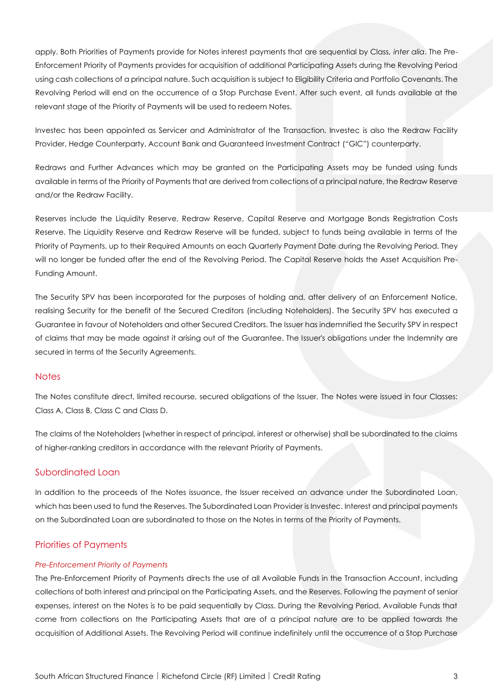apply. Both Priorities of Payments provide for Notes interest payments that are sequential by Class, *inter alia*. The Pre-Enforcement Priority of Payments provides for acquisition of additional Participating Assets during the Revolving Period using cash collections of a principal nature. Such acquisition is subject to Eligibility Criteria and Portfolio Covenants. The Revolving Period will end on the occurrence of a Stop Purchase Event. After such event, all funds available at the relevant stage of the Priority of Payments will be used to redeem Notes.

Investec has been appointed as Servicer and Administrator of the Transaction. Investec is also the Redraw Facility Provider, Hedge Counterparty, Account Bank and Guaranteed Investment Contract ("GIC") counterparty.

Redraws and Further Advances which may be granted on the Participating Assets may be funded using funds available in terms of the Priority of Payments that are derived from collections of a principal nature, the Redraw Reserve and/or the Redraw Facility.

Reserves include the Liquidity Reserve, Redraw Reserve, Capital Reserve and Mortgage Bonds Registration Costs Reserve. The Liquidity Reserve and Redraw Reserve will be funded, subject to funds being available in terms of the Priority of Payments, up to their Required Amounts on each Quarterly Payment Date during the Revolving Period. They will no longer be funded after the end of the Revolving Period. The Capital Reserve holds the Asset Acquisition Pre-Funding Amount.

The Security SPV has been incorporated for the purposes of holding and, after delivery of an Enforcement Notice, realising Security for the benefit of the Secured Creditors (including Noteholders). The Security SPV has executed a Guarantee in favour of Noteholders and other Secured Creditors. The Issuer has indemnified the Security SPV in respect of claims that may be made against it arising out of the Guarantee. The Issuer's obligations under the Indemnity are secured in terms of the Security Agreements.

#### **Notes**

The Notes constitute direct, limited recourse, secured obligations of the Issuer. The Notes were issued in four Classes: Class A, Class B, Class C and Class D.

The claims of the Noteholders (whether in respect of principal, interest or otherwise) shall be subordinated to the claims of higher-ranking creditors in accordance with the relevant Priority of Payments.

#### Subordinated Loan

In addition to the proceeds of the Notes issuance, the Issuer received an advance under the Subordinated Loan, which has been used to fund the Reserves. The Subordinated Loan Provider is Investec. Interest and principal payments on the Subordinated Loan are subordinated to those on the Notes in terms of the Priority of Payments.

#### Priorities of Payments

#### *Pre-Enforcement Priority of Payments*

The Pre-Enforcement Priority of Payments directs the use of all Available Funds in the Transaction Account, including collections of both interest and principal on the Participating Assets, and the Reserves. Following the payment of senior expenses, interest on the Notes is to be paid sequentially by Class. During the Revolving Period, Available Funds that come from collections on the Participating Assets that are of a principal nature are to be applied towards the acquisition of Additional Assets. The Revolving Period will continue indefinitely until the occurrence of a Stop Purchase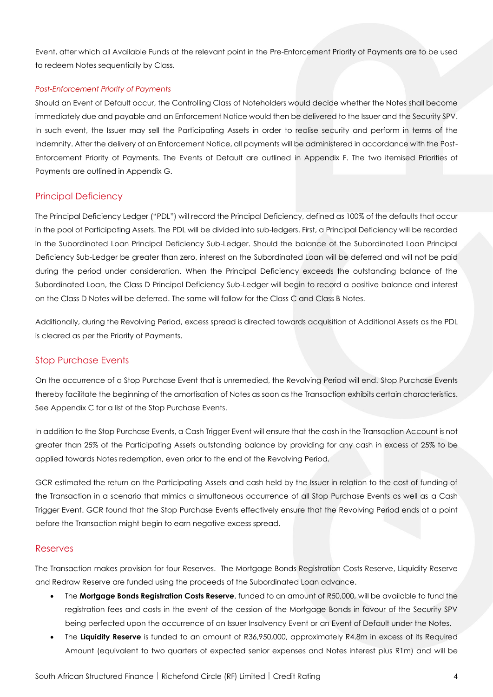Event, after which all Available Funds at the relevant point in the Pre-Enforcement Priority of Payments are to be used to redeem Notes sequentially by Class.

#### *Post-Enforcement Priority of Payments*

Should an Event of Default occur, the Controlling Class of Noteholders would decide whether the Notes shall become immediately due and payable and an Enforcement Notice would then be delivered to the Issuer and the Security SPV. In such event, the Issuer may sell the Participating Assets in order to realise security and perform in terms of the Indemnity. After the delivery of an Enforcement Notice, all payments will be administered in accordance with the Post-Enforcement Priority of Payments. The Events of Default are outlined in Appendix F. The two itemised Priorities of Payments are outlined in Appendix G.

#### Principal Deficiency

The Principal Deficiency Ledger ("PDL") will record the Principal Deficiency, defined as 100% of the defaults that occur in the pool of Participating Assets. The PDL will be divided into sub-ledgers. First, a Principal Deficiency will be recorded in the Subordinated Loan Principal Deficiency Sub-Ledger. Should the balance of the Subordinated Loan Principal Deficiency Sub-Ledger be greater than zero, interest on the Subordinated Loan will be deferred and will not be paid during the period under consideration. When the Principal Deficiency exceeds the outstanding balance of the Subordinated Loan, the Class D Principal Deficiency Sub-Ledger will begin to record a positive balance and interest on the Class D Notes will be deferred. The same will follow for the Class C and Class B Notes.

Additionally, during the Revolving Period, excess spread is directed towards acquisition of Additional Assets as the PDL is cleared as per the Priority of Payments.

#### Stop Purchase Events

On the occurrence of a Stop Purchase Event that is unremedied, the Revolving Period will end. Stop Purchase Events thereby facilitate the beginning of the amortisation of Notes as soon as the Transaction exhibits certain characteristics. See Appendix C for a list of the Stop Purchase Events.

In addition to the Stop Purchase Events, a Cash Trigger Event will ensure that the cash in the Transaction Account is not greater than 25% of the Participating Assets outstanding balance by providing for any cash in excess of 25% to be applied towards Notes redemption, even prior to the end of the Revolving Period.

GCR estimated the return on the Participating Assets and cash held by the Issuer in relation to the cost of funding of the Transaction in a scenario that mimics a simultaneous occurrence of all Stop Purchase Events as well as a Cash Trigger Event. GCR found that the Stop Purchase Events effectively ensure that the Revolving Period ends at a point before the Transaction might begin to earn negative excess spread.

#### Reserves

The Transaction makes provision for four Reserves. The Mortgage Bonds Registration Costs Reserve, Liquidity Reserve and Redraw Reserve are funded using the proceeds of the Subordinated Loan advance.

- The **Mortgage Bonds Registration Costs Reserve**, funded to an amount of R50,000, will be available to fund the registration fees and costs in the event of the cession of the Mortgage Bonds in favour of the Security SPV being perfected upon the occurrence of an Issuer Insolvency Event or an Event of Default under the Notes.
- The **Liquidity Reserve** is funded to an amount of R36,950,000, approximately R4.8m in excess of its Required Amount (equivalent to two quarters of expected senior expenses and Notes interest plus R1m) and will be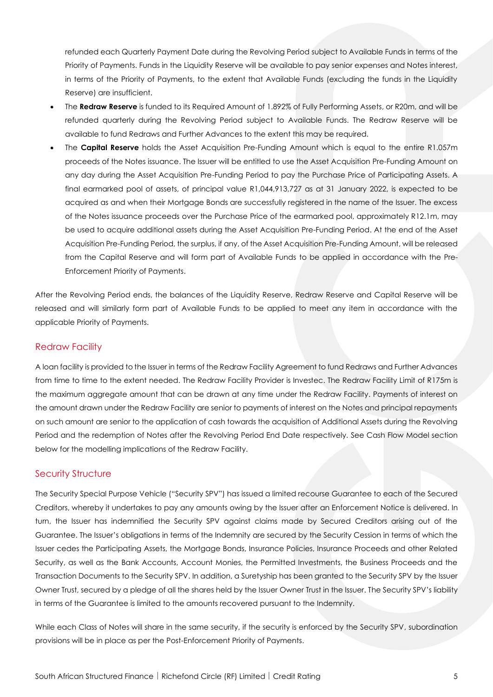refunded each Quarterly Payment Date during the Revolving Period subject to Available Funds in terms of the Priority of Payments. Funds in the Liquidity Reserve will be available to pay senior expenses and Notes interest, in terms of the Priority of Payments, to the extent that Available Funds (excluding the funds in the Liquidity Reserve) are insufficient.

- The **Redraw Reserve** is funded to its Required Amount of 1.892% of Fully Performing Assets, or R20m, and will be refunded quarterly during the Revolving Period subject to Available Funds. The Redraw Reserve will be available to fund Redraws and Further Advances to the extent this may be required.
- The **Capital Reserve** holds the Asset Acquisition Pre-Funding Amount which is equal to the entire R1.057m proceeds of the Notes issuance. The Issuer will be entitled to use the Asset Acquisition Pre-Funding Amount on any day during the Asset Acquisition Pre-Funding Period to pay the Purchase Price of Participating Assets. A final earmarked pool of assets, of principal value R1,044,913,727 as at 31 January 2022, is expected to be acquired as and when their Mortgage Bonds are successfully registered in the name of the Issuer. The excess of the Notes issuance proceeds over the Purchase Price of the earmarked pool, approximately R12.1m, may be used to acquire additional assets during the Asset Acquisition Pre-Funding Period. At the end of the Asset Acquisition Pre-Funding Period, the surplus, if any, of the Asset Acquisition Pre-Funding Amount, will be released from the Capital Reserve and will form part of Available Funds to be applied in accordance with the Pre-Enforcement Priority of Payments.

After the Revolving Period ends, the balances of the Liquidity Reserve, Redraw Reserve and Capital Reserve will be released and will similarly form part of Available Funds to be applied to meet any item in accordance with the applicable Priority of Payments.

#### Redraw Facility

A loan facility is provided to the Issuer in terms of the Redraw Facility Agreement to fund Redraws and Further Advances from time to time to the extent needed. The Redraw Facility Provider is Investec. The Redraw Facility Limit of R175m is the maximum aggregate amount that can be drawn at any time under the Redraw Facility. Payments of interest on the amount drawn under the Redraw Facility are senior to payments of interest on the Notes and principal repayments on such amount are senior to the application of cash towards the acquisition of Additional Assets during the Revolving Period and the redemption of Notes after the Revolving Period End Date respectively. See Cash Flow Model section below for the modelling implications of the Redraw Facility.

#### Security Structure

The Security Special Purpose Vehicle ("Security SPV") has issued a limited recourse Guarantee to each of the Secured Creditors, whereby it undertakes to pay any amounts owing by the Issuer after an Enforcement Notice is delivered. In turn, the Issuer has indemnified the Security SPV against claims made by Secured Creditors arising out of the Guarantee. The Issuer's obligations in terms of the Indemnity are secured by the Security Cession in terms of which the Issuer cedes the Participating Assets, the Mortgage Bonds, Insurance Policies, Insurance Proceeds and other Related Security, as well as the Bank Accounts, Account Monies, the Permitted Investments, the Business Proceeds and the Transaction Documents to the Security SPV. In addition, a Suretyship has been granted to the Security SPV by the Issuer Owner Trust, secured by a pledge of all the shares held by the Issuer Owner Trust in the Issuer. The Security SPV's liability in terms of the Guarantee is limited to the amounts recovered pursuant to the Indemnity.

While each Class of Notes will share in the same security, if the security is enforced by the Security SPV, subordination provisions will be in place as per the Post-Enforcement Priority of Payments.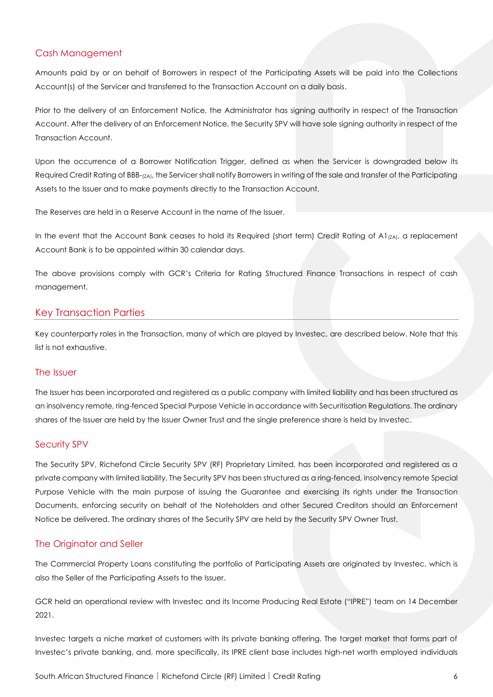#### Cash Management

Amounts paid by or on behalf of Borrowers in respect of the Participating Assets will be paid into the Collections Account(s) of the Servicer and transferred to the Transaction Account on a daily basis.

Prior to the delivery of an Enforcement Notice, the Administrator has signing authority in respect of the Transaction Account. After the delivery of an Enforcement Notice, the Security SPV will have sole signing authority in respect of the Transaction Account.

Upon the occurrence of a Borrower Notification Trigger, defined as when the Servicer is downgraded below its Required Credit Rating of BBB-(ZA), the Servicer shall notify Borrowers in writing of the sale and transfer of the Participating Assets to the Issuer and to make payments directly to the Transaction Account.

The Reserves are held in a Reserve Account in the name of the Issuer.

In the event that the Account Bank ceases to hold its Required (short term) Credit Rating of A1 $_{[ZA]}$ , a replacement Account Bank is to be appointed within 30 calendar days.

The above provisions comply with GCR's Criteria for Rating Structured Finance Transactions in respect of cash management.

#### Key Transaction Parties

Key counterparty roles in the Transaction, many of which are played by Investec, are described below. Note that this list is not exhaustive.

#### The Issuer

The Issuer has been incorporated and registered as a public company with limited liability and has been structured as an insolvency remote, ring-fenced Special Purpose Vehicle in accordance with Securitisation Regulations. The ordinary shares of the Issuer are held by the Issuer Owner Trust and the single preference share is held by Investec.

#### Security SPV

The Security SPV, Richefond Circle Security SPV (RF) Proprietary Limited, has been incorporated and registered as a private company with limited liability. The Security SPV has been structured as a ring-fenced, insolvency remote Special Purpose Vehicle with the main purpose of issuing the Guarantee and exercising its rights under the Transaction Documents, enforcing security on behalf of the Noteholders and other Secured Creditors should an Enforcement Notice be delivered. The ordinary shares of the Security SPV are held by the Security SPV Owner Trust.

#### The Originator and Seller

The Commercial Property Loans constituting the portfolio of Participating Assets are originated by Investec, which is also the Seller of the Participating Assets to the Issuer.

GCR held an operational review with Investec and its Income Producing Real Estate ("IPRE") team on 14 December 2021.

Investec targets a niche market of customers with its private banking offering. The target market that forms part of Investec's private banking, and, more specifically, its IPRE client base includes high-net worth employed individuals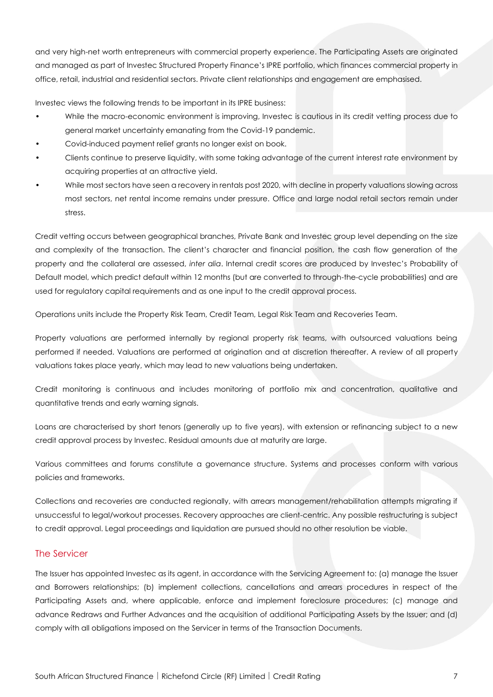and very high-net worth entrepreneurs with commercial property experience. The Participating Assets are originated and managed as part of Investec Structured Property Finance's IPRE portfolio, which finances commercial property in office, retail, industrial and residential sectors. Private client relationships and engagement are emphasised.

Investec views the following trends to be important in its IPRE business:

- While the macro-economic environment is improving, Investec is cautious in its credit vetting process due to general market uncertainty emanating from the Covid-19 pandemic.
- Covid-induced payment relief grants no longer exist on book.
- Clients continue to preserve liquidity, with some taking advantage of the current interest rate environment by acquiring properties at an attractive yield.
- While most sectors have seen a recovery in rentals post 2020, with decline in property valuations slowing across most sectors, net rental income remains under pressure. Office and large nodal retail sectors remain under stress.

Credit vetting occurs between geographical branches, Private Bank and Investec group level depending on the size and complexity of the transaction. The client's character and financial position, the cash flow generation of the property and the collateral are assessed, *inter alia*. Internal credit scores are produced by Investec's Probability of Default model, which predict default within 12 months (but are converted to through-the-cycle probabilities) and are used for regulatory capital requirements and as one input to the credit approval process.

Operations units include the Property Risk Team, Credit Team, Legal Risk Team and Recoveries Team.

Property valuations are performed internally by regional property risk teams, with outsourced valuations being performed if needed. Valuations are performed at origination and at discretion thereafter. A review of all property valuations takes place yearly, which may lead to new valuations being undertaken.

Credit monitoring is continuous and includes monitoring of portfolio mix and concentration, qualitative and quantitative trends and early warning signals.

Loans are characterised by short tenors (generally up to five years), with extension or refinancing subject to a new credit approval process by Investec. Residual amounts due at maturity are large.

Various committees and forums constitute a governance structure. Systems and processes conform with various policies and frameworks.

Collections and recoveries are conducted regionally, with arrears management/rehabilitation attempts migrating if unsuccessful to legal/workout processes. Recovery approaches are client-centric. Any possible restructuring is subject to credit approval. Legal proceedings and liquidation are pursued should no other resolution be viable.

#### The Servicer

The Issuer has appointed Investec as its agent, in accordance with the Servicing Agreement to: (a) manage the Issuer and Borrowers relationships; (b) implement collections, cancellations and arrears procedures in respect of the Participating Assets and, where applicable, enforce and implement foreclosure procedures; (c) manage and advance Redraws and Further Advances and the acquisition of additional Participating Assets by the Issuer; and (d) comply with all obligations imposed on the Servicer in terms of the Transaction Documents.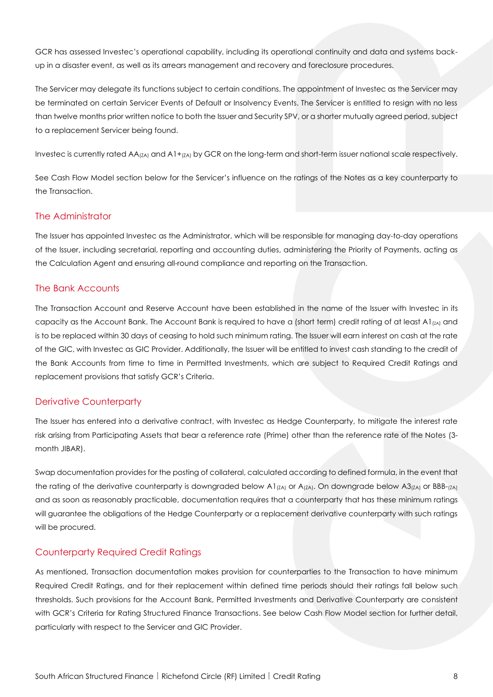GCR has assessed Investec's operational capability, including its operational continuity and data and systems backup in a disaster event, as well as its arrears management and recovery and foreclosure procedures.

The Servicer may delegate its functions subject to certain conditions. The appointment of Investec as the Servicer may be terminated on certain Servicer Events of Default or Insolvency Events. The Servicer is entitled to resign with no less than twelve months prior written notice to both the Issuer and Security SPV, or a shorter mutually agreed period, subject to a replacement Servicer being found.

Investec is currently rated AA $_{(ZA)}$  and A1+ $_{(ZA)}$  by GCR on the long-term and short-term issuer national scale respectively.

See Cash Flow Model section below for the Servicer's influence on the ratings of the Notes as a key counterparty to the Transaction.

#### The Administrator

The Issuer has appointed Investec as the Administrator, which will be responsible for managing day-to-day operations of the Issuer, including secretarial, reporting and accounting duties, administering the Priority of Payments, acting as the Calculation Agent and ensuring all-round compliance and reporting on the Transaction.

#### The Bank Accounts

The Transaction Account and Reserve Account have been established in the name of the Issuer with Investec in its capacity as the Account Bank. The Account Bank is required to have a (short term) credit rating of at least  $A1_{(ZA)}$  and is to be replaced within 30 days of ceasing to hold such minimum rating. The Issuer will earn interest on cash at the rate of the GIC, with Investec as GIC Provider. Additionally, the Issuer will be entitled to invest cash standing to the credit of the Bank Accounts from time to time in Permitted Investments, which are subject to Required Credit Ratings and replacement provisions that satisfy GCR's Criteria.

#### Derivative Counterparty

The Issuer has entered into a derivative contract, with Investec as Hedge Counterparty, to mitigate the interest rate risk arising from Participating Assets that bear a reference rate (Prime) other than the reference rate of the Notes (3 month JIBAR).

Swap documentation provides for the posting of collateral, calculated according to defined formula, in the event that the rating of the derivative counterparty is downgraded below A1<sub>(ZA)</sub> or A<sub>(ZA)</sub>. On downgrade below A3<sub>(ZA)</sub> or BBB-(zA) and as soon as reasonably practicable, documentation requires that a counterparty that has these minimum ratings will guarantee the obligations of the Hedge Counterparty or a replacement derivative counterparty with such ratings will be procured.

#### Counterparty Required Credit Ratings

As mentioned, Transaction documentation makes provision for counterparties to the Transaction to have minimum Required Credit Ratings, and for their replacement within defined time periods should their ratings fall below such thresholds. Such provisions for the Account Bank, Permitted Investments and Derivative Counterparty are consistent with GCR's Criteria for Rating Structured Finance Transactions. See below Cash Flow Model section for further detail, particularly with respect to the Servicer and GIC Provider.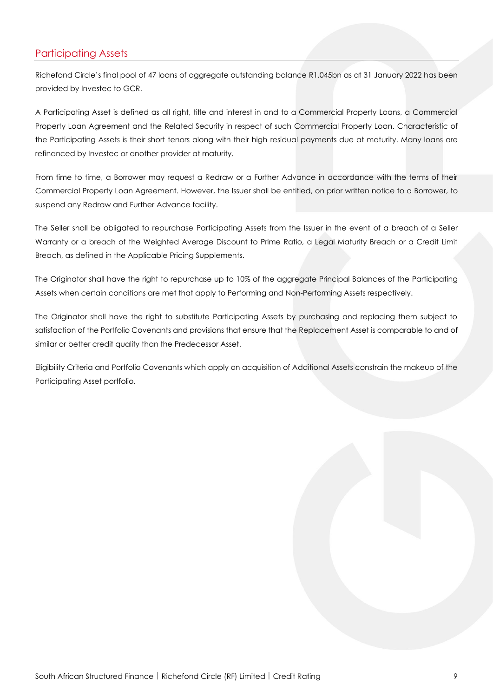# Participating Assets

Richefond Circle's final pool of 47 loans of aggregate outstanding balance R1.045bn as at 31 January 2022 has been provided by Investec to GCR.

A Participating Asset is defined as all right, title and interest in and to a Commercial Property Loans, a Commercial Property Loan Agreement and the Related Security in respect of such Commercial Property Loan. Characteristic of the Participating Assets is their short tenors along with their high residual payments due at maturity. Many loans are refinanced by Investec or another provider at maturity.

From time to time, a Borrower may request a Redraw or a Further Advance in accordance with the terms of their Commercial Property Loan Agreement. However, the Issuer shall be entitled, on prior written notice to a Borrower, to suspend any Redraw and Further Advance facility.

The Seller shall be obligated to repurchase Participating Assets from the Issuer in the event of a breach of a Seller Warranty or a breach of the Weighted Average Discount to Prime Ratio, a Legal Maturity Breach or a Credit Limit Breach, as defined in the Applicable Pricing Supplements.

The Originator shall have the right to repurchase up to 10% of the aggregate Principal Balances of the Participating Assets when certain conditions are met that apply to Performing and Non-Performing Assets respectively.

The Originator shall have the right to substitute Participating Assets by purchasing and replacing them subject to satisfaction of the Portfolio Covenants and provisions that ensure that the Replacement Asset is comparable to and of similar or better credit quality than the Predecessor Asset.

Eligibility Criteria and Portfolio Covenants which apply on acquisition of Additional Assets constrain the makeup of the Participating Asset portfolio.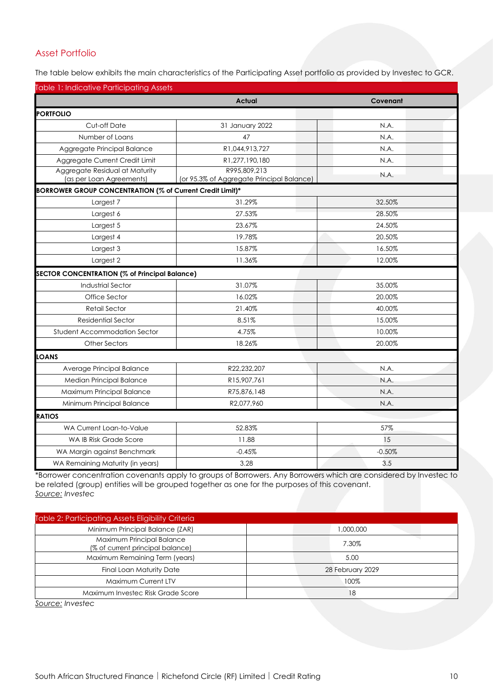# Asset Portfolio

The table below exhibits the main characteristics of the Participating Asset portfolio as provided by Investec to GCR.

| <b>Table 1: Indicative Participating Assets</b>            |                                                           |          |
|------------------------------------------------------------|-----------------------------------------------------------|----------|
|                                                            | <b>Actual</b>                                             | Covenant |
| <b>PORTFOLIO</b>                                           |                                                           |          |
| Cut-off Date                                               | 31 January 2022                                           | N.A.     |
| Number of Loans                                            | 47                                                        | N.A.     |
| Aggregate Principal Balance                                | R1,044,913,727                                            | N.A.     |
| Aggregate Current Credit Limit                             | R1,277,190,180                                            | N.A.     |
| Aggregate Residual at Maturity<br>(as per Loan Agreements) | R995,809,213<br>(or 95.3% of Aggregate Principal Balance) | N.A.     |
| BORROWER GROUP CONCENTRATION (% of Current Credit Limit)*  |                                                           |          |
| Largest 7                                                  | 31.29%                                                    | 32.50%   |
| Largest 6                                                  | 27.53%                                                    | 28.50%   |
| Largest 5                                                  | 23.67%                                                    | 24.50%   |
| Largest 4                                                  | 19.78%                                                    | 20.50%   |
| Largest 3                                                  | 15.87%                                                    | 16.50%   |
| Largest 2                                                  | 11.36%                                                    | 12.00%   |
| <b>SECTOR CONCENTRATION (% of Principal Balance)</b>       |                                                           |          |
| <b>Industrial Sector</b>                                   | 31.07%                                                    | 35.00%   |
| Office Sector                                              | 16.02%                                                    | 20.00%   |
| Retail Sector                                              | 21.40%                                                    | 40.00%   |
| <b>Residential Sector</b>                                  | 8.51%                                                     | 15.00%   |
| Student Accommodation Sector                               | 4.75%                                                     | 10.00%   |
| Other Sectors                                              | 18.26%                                                    | 20.00%   |
| <b>LOANS</b>                                               |                                                           |          |
| Average Principal Balance                                  | R22,232,207                                               | N.A.     |
| Median Principal Balance                                   | R15,907,761                                               | N.A.     |
| Maximum Principal Balance                                  | R75,876,148                                               | N.A.     |
| Minimum Principal Balance                                  | R2,077,960                                                | N.A.     |
| <b>RATIOS</b>                                              |                                                           |          |
| WA Current Loan-to-Value                                   | 52.83%                                                    | 57%      |
| WA IB Risk Grade Score                                     | 11.88                                                     | 15       |
| WA Margin against Benchmark                                | $-0.45%$                                                  | $-0.50%$ |
| WA Remaining Maturity (in years)                           | 3.28                                                      | 3.5      |

\*Borrower concentration covenants apply to groups of Borrowers. Any Borrowers which are considered by Investec to be related (group) entities will be grouped together as one for the purposes of this covenant. *Source: Investec*

| <b>Table 2: Participating Assets Eligibility Criteria</b>     |                  |
|---------------------------------------------------------------|------------------|
| Minimum Principal Balance (ZAR)                               | 1,000,000        |
| Maximum Principal Balance<br>(% of current principal balance) | 7.30%            |
| Maximum Remaining Term (years)                                | 5.00             |
| <b>Final Loan Maturity Date</b>                               | 28 February 2029 |
| Maximum Current LTV                                           | 100%             |
| Maximum Investec Risk Grade Score                             | 18               |

*Source: Investec*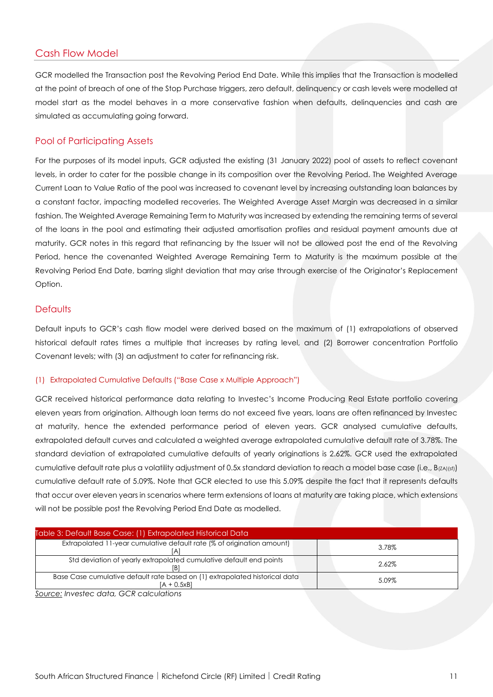## Cash Flow Model

GCR modelled the Transaction post the Revolving Period End Date. While this implies that the Transaction is modelled at the point of breach of one of the Stop Purchase triggers, zero default, delinquency or cash levels were modelled at model start as the model behaves in a more conservative fashion when defaults, delinquencies and cash are simulated as accumulating going forward.

#### Pool of Participating Assets

For the purposes of its model inputs, GCR adjusted the existing (31 January 2022) pool of assets to reflect covenant levels, in order to cater for the possible change in its composition over the Revolving Period. The Weighted Average Current Loan to Value Ratio of the pool was increased to covenant level by increasing outstanding loan balances by a constant factor, impacting modelled recoveries. The Weighted Average Asset Margin was decreased in a similar fashion. The Weighted Average Remaining Term to Maturity was increased by extending the remaining terms of several of the loans in the pool and estimating their adjusted amortisation profiles and residual payment amounts due at maturity. GCR notes in this regard that refinancing by the Issuer will not be allowed post the end of the Revolving Period, hence the covenanted Weighted Average Remaining Term to Maturity is the maximum possible at the Revolving Period End Date, barring slight deviation that may arise through exercise of the Originator's Replacement Option.

#### **Defaults**

Default inputs to GCR's cash flow model were derived based on the maximum of (1) extrapolations of observed historical default rates times a multiple that increases by rating level, and (2) Borrower concentration Portfolio Covenant levels; with (3) an adjustment to cater for refinancing risk.

#### (1) Extrapolated Cumulative Defaults ("Base Case x Multiple Approach")

GCR received historical performance data relating to Investec's Income Producing Real Estate portfolio covering eleven years from origination. Although loan terms do not exceed five years, loans are often refinanced by Investec at maturity, hence the extended performance period of eleven years. GCR analysed cumulative defaults, extrapolated default curves and calculated a weighted average extrapolated cumulative default rate of 3.78%. The standard deviation of extrapolated cumulative defaults of yearly originations is 2.62%. GCR used the extrapolated cumulative default rate plus a volatility adjustment of 0.5x standard deviation to reach a model base case (i.e.,  $B_{(ZA)(sf)}$ ) cumulative default rate of 5.09%. Note that GCR elected to use this 5.09% despite the fact that it represents defaults that occur over eleven years in scenarios where term extensions of loans at maturity are taking place, which extensions will not be possible post the Revolving Period End Date as modelled.

| Table 3: Default Base Case: (1) Extrapolated Historical Data                               |       |
|--------------------------------------------------------------------------------------------|-------|
| Extrapolated 11-year cumulative default rate (% of origination amount)                     | 3.78% |
| Std deviation of yearly extrapolated cumulative default end points                         | 2.62% |
| Base Case cumulative default rate based on (1) extrapolated historical data<br>[A + 0.5xB] | 5.09% |
| - - -                                                                                      |       |

*Source: Investec data, GCR calculations*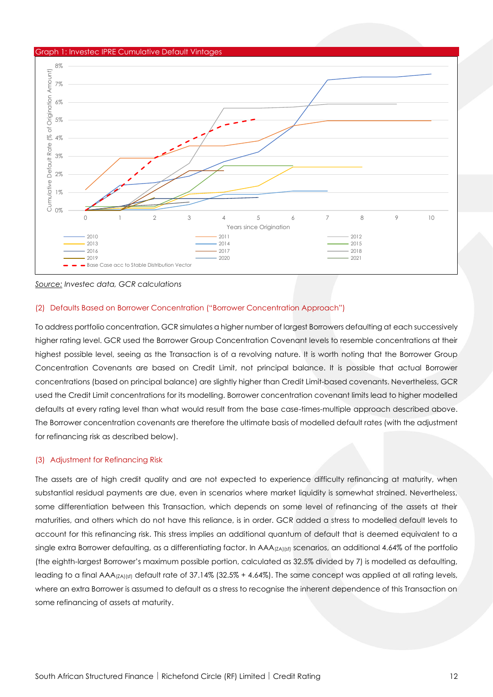

*Source: Investec data, GCR calculations*

#### (2) Defaults Based on Borrower Concentration ("Borrower Concentration Approach")

To address portfolio concentration, GCR simulates a higher number of largest Borrowers defaulting at each successively higher rating level. GCR used the Borrower Group Concentration Covenant levels to resemble concentrations at their highest possible level, seeing as the Transaction is of a revolving nature. It is worth noting that the Borrower Group Concentration Covenants are based on Credit Limit, not principal balance. It is possible that actual Borrower concentrations (based on principal balance) are slightly higher than Credit Limit-based covenants. Nevertheless, GCR used the Credit Limit concentrations for its modelling. Borrower concentration covenant limits lead to higher modelled defaults at every rating level than what would result from the base case-times-multiple approach described above. The Borrower concentration covenants are therefore the ultimate basis of modelled default rates (with the adjustment for refinancing risk as described below).

#### (3) Adjustment for Refinancing Risk

The assets are of high credit quality and are not expected to experience difficulty refinancing at maturity, when substantial residual payments are due, even in scenarios where market liquidity is somewhat strained. Nevertheless, some differentiation between this Transaction, which depends on some level of refinancing of the assets at their maturities, and others which do not have this reliance, is in order. GCR added a stress to modelled default levels to account for this refinancing risk. This stress implies an additional quantum of default that is deemed equivalent to a single extra Borrower defaulting, as a differentiating factor. In AAA<sub>(ZA)(sf)</sub> scenarios, an additional 4.64% of the portfolio (the eighth-largest Borrower's maximum possible portion, calculated as 32.5% divided by 7) is modelled as defaulting, leading to a final AAA( $Z_A$ )(sf) default rate of 37.14% (32.5% + 4.64%). The same concept was applied at all rating levels, where an extra Borrower is assumed to default as a stress to recognise the inherent dependence of this Transaction on some refinancing of assets at maturity.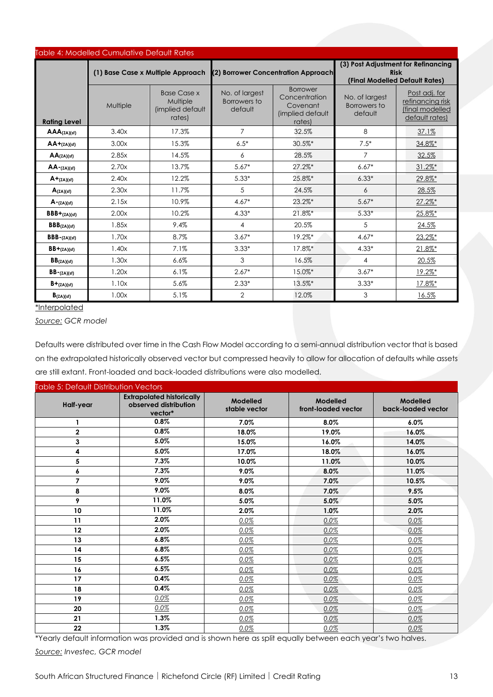| <b>Table 4: Modelled Cumulative Default Rates</b> |                                   |                                                              |                                           |                                                                            |                                           |                                                                                      |  |
|---------------------------------------------------|-----------------------------------|--------------------------------------------------------------|-------------------------------------------|----------------------------------------------------------------------------|-------------------------------------------|--------------------------------------------------------------------------------------|--|
|                                                   | (1) Base Case x Multiple Approach |                                                              |                                           | (2) Borrower Concentration Approach                                        |                                           | (3) Post Adjustment for Refinancing<br><b>Risk</b><br>(Final Modelled Default Rates) |  |
| <b>Rating Level</b>                               | Multiple                          | <b>Base Case x</b><br>Multiple<br>(implied default<br>rates) | No. of largest<br>Borrowers to<br>default | <b>Borrower</b><br>Concentration<br>Covenant<br>(implied default<br>rates) | No. of largest<br>Borrowers to<br>default | Post adj. for<br>refinancing risk<br>final modelled<br>default rates)                |  |
| $AAA$ (ZA)(sf)                                    | 3.40x                             | 17.3%                                                        | $\overline{7}$                            | 32.5%                                                                      | 8                                         | 37.1%                                                                                |  |
| $AA+_{(ZA)(sf)}$                                  | 3.00x                             | 15.3%                                                        | $6.5*$                                    | 30.5%*                                                                     | $7.5*$                                    | 34.8%*                                                                               |  |
| $AA$ (ZA)(sf)                                     | 2.85x                             | 14.5%                                                        | 6                                         | 28.5%                                                                      | $\overline{7}$                            | 32.5%                                                                                |  |
| $AA$ - $(ZA)(sf)$                                 | 2.70x                             | 13.7%                                                        | $5.67*$                                   | $27.2\%$ *                                                                 | $6.67*$                                   | $31.2\%$ *                                                                           |  |
| $A + (ZA)(sf)$                                    | 2.40x                             | 12.2%                                                        | $5.33*$                                   | 25.8%*                                                                     | $6.33*$                                   | 29.8%*                                                                               |  |
| $A$ (ZA)(sf)                                      | 2.30x                             | 11.7%                                                        | 5                                         | 24.5%                                                                      | 6                                         | 28.5%                                                                                |  |
| $A - (ZA)(sf)$                                    | 2.15x                             | 10.9%                                                        | $4.67*$                                   | 23.2%*                                                                     | $5.67*$                                   | $27.2\%$ *                                                                           |  |
| $BBB+(ZA)(sf)$                                    | 2.00x                             | 10.2%                                                        | $4.33*$                                   | 21.8%*                                                                     | $5.33*$                                   | 25.8%*                                                                               |  |
| BBB(ZA)(sf)                                       | 1.85x                             | 9.4%                                                         | $\overline{4}$                            | 20.5%                                                                      | 5                                         | 24.5%                                                                                |  |
| $BBB - (ZA)(sf)$                                  | 1.70x                             | 8.7%                                                         | $3.67*$                                   | 19.2%*                                                                     | $4.67*$                                   | 23.2%*                                                                               |  |
| $BB + (ZA)(sf)$                                   | 1.40x                             | 7.1%                                                         | $3.33*$                                   | 17.8%*                                                                     | $4.33*$                                   | $21.8\%$ <sup>*</sup>                                                                |  |
| BB(ZA)(sf)                                        | 1.30x                             | 6.6%                                                         | 3                                         | 16.5%                                                                      | 4                                         | 20.5%                                                                                |  |
| $BB - (ZA)(sf)$                                   | 1.20x                             | 6.1%                                                         | $2.67*$                                   | 15.0%*                                                                     | $3.67*$                                   | 19.2%*                                                                               |  |
| $B + (ZA)(sf)$                                    | 1.10x                             | 5.6%                                                         | $2.33*$                                   | 13.5%*                                                                     | $3.33*$                                   | 17.8%*                                                                               |  |
| $B_{(ZA)(sf)}$                                    | 1.00x                             | 5.1%                                                         | 2                                         | 12.0%                                                                      | 3                                         | 16.5%                                                                                |  |

\*Interpolated

*Source: GCR model*

Defaults were distributed over time in the Cash Flow Model according to a semi-annual distribution vector that is based on the extrapolated historically observed vector but compressed heavily to allow for allocation of defaults while assets are still extant. Front-loaded and back-loaded distributions were also modelled.

| <b>Table 5: Default Distribution Vectors</b> |                                                                      |                           |                                 |                                |
|----------------------------------------------|----------------------------------------------------------------------|---------------------------|---------------------------------|--------------------------------|
| Half-year                                    | <b>Extrapolated historically</b><br>observed distribution<br>vector* | Modelled<br>stable vector | Modelled<br>front-loaded vector | Modelled<br>back-loaded vector |
| 1                                            | 0.8%                                                                 | 7.0%                      | 8.0%                            | 6.0%                           |
| $\overline{2}$                               | 0.8%                                                                 | 18.0%                     | 19.0%                           | 16.0%                          |
| 3                                            | 5.0%                                                                 | 15.0%                     | 16.0%                           | 14.0%                          |
| 4                                            | 5.0%                                                                 | 17.0%                     | 18.0%                           | 16.0%                          |
| 5                                            | 7.3%                                                                 | 10.0%                     | 11.0%                           | 10.0%                          |
| 6                                            | 7.3%                                                                 | 9.0%                      | 8.0%                            | 11.0%                          |
| 7                                            | 9.0%                                                                 | 9.0%                      | 7.0%                            | 10.5%                          |
| 8                                            | 9.0%                                                                 | 8.0%                      | 7.0%                            | 9.5%                           |
| 9                                            | 11.0%                                                                | 5.0%                      | 5.0%                            | 5.0%                           |
| 10                                           | 11.0%                                                                | 2.0%                      | 1.0%                            | 2.0%                           |
| 11                                           | 2.0%                                                                 | 0.0%                      | 0.0%                            | 0.0%                           |
| 12                                           | 2.0%                                                                 | 0.0%                      | 0.0%                            | 0.0%                           |
| 13                                           | 6.8%                                                                 | 0.0%                      | 0.0%                            | 0.0%                           |
| 14                                           | 6.8%                                                                 | 0.0%                      | 0.0%                            | 0.0%                           |
| 15                                           | 6.5%                                                                 | 0.0%                      | 0.0%                            | 0.0%                           |
| 16                                           | 6.5%                                                                 | $0.0\%$                   | 0.0%                            | 0.0%                           |
| 17                                           | 0.4%                                                                 | 0.0%                      | 0.0%                            | 0.0%                           |
| 18                                           | 0.4%                                                                 | $0.0\%$                   | 0.0%                            | 0.0%                           |
| 19                                           | 0.0%                                                                 | $0.0\%$                   | 0.0%                            | 0.0%                           |
| 20                                           | 0.0%                                                                 | 0.0%                      | 0.0%                            | 0.0%                           |
| 21                                           | 1.3%                                                                 | $0.0\%$                   | 0.0%                            | 0.0%                           |
| 22                                           | 1.3%                                                                 | 0.0%                      | 0.0%                            | 0.0%                           |

\*Yearly default information was provided and is shown here as split equally between each year's two halves. *Source: Investec, GCR model*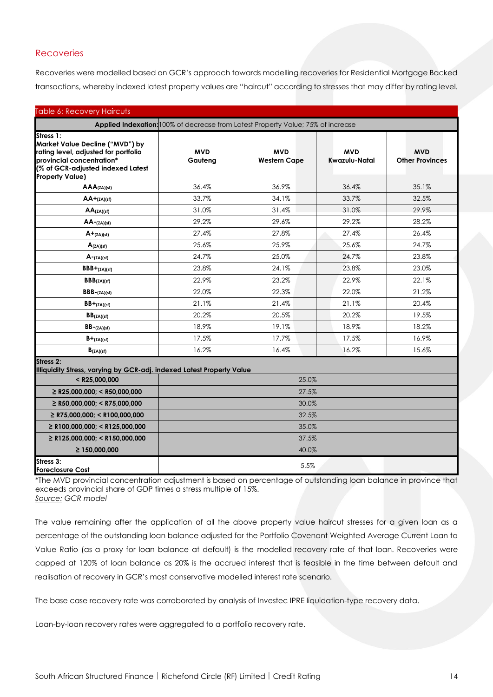#### **Recoveries**

Recoveries were modelled based on GCR's approach towards modelling recoveries for Residential Mortgage Backed transactions, whereby indexed latest property values are "haircut" according to stresses that may differ by rating level.

| <b>Table 6: Recovery Haircuts</b>                                                                                                                                                |                                                                                  |                                   |                             |                                      |  |
|----------------------------------------------------------------------------------------------------------------------------------------------------------------------------------|----------------------------------------------------------------------------------|-----------------------------------|-----------------------------|--------------------------------------|--|
|                                                                                                                                                                                  | Applied Indexation: 100% of decrease from Latest Property Value; 75% of increase |                                   |                             |                                      |  |
| Stress 1:<br>Market Value Decline ("MVD") by<br>rating level, adjusted for portfolio<br>provincial concentration*<br>(% of GCR-adjusted indexed Latest<br><b>Property Value)</b> | <b>MVD</b><br>Gauteng                                                            | <b>MVD</b><br><b>Western Cape</b> | <b>MVD</b><br>Kwazulu-Natal | <b>MVD</b><br><b>Other Provinces</b> |  |
| $AAA$ (ZA)(sf)                                                                                                                                                                   | 36.4%                                                                            | 36.9%                             | 36.4%                       | 35.1%                                |  |
| $AA + (ZA)(sf)$                                                                                                                                                                  | 33.7%                                                                            | 34.1%                             | 33.7%                       | 32.5%                                |  |
| $AA$ (ZA)(sf)                                                                                                                                                                    | 31.0%                                                                            | 31.4%                             | 31.0%                       | 29.9%                                |  |
| $AA$ - $(ZA)(sf)$                                                                                                                                                                | 29.2%                                                                            | 29.6%                             | 29.2%                       | 28.2%                                |  |
| $A + (ZA)(sf)$                                                                                                                                                                   | 27.4%                                                                            | 27.8%                             | 27.4%                       | 26.4%                                |  |
| $A(z_A)(sf)$                                                                                                                                                                     | 25.6%                                                                            | 25.9%                             | 25.6%                       | 24.7%                                |  |
| $A - (ZA)(sf)$                                                                                                                                                                   | 24.7%                                                                            | 25.0%                             | 24.7%                       | 23.8%                                |  |
| $BBB+(ZA)(sf)$                                                                                                                                                                   | 23.8%                                                                            | 24.1%                             | 23.8%                       | 23.0%                                |  |
| BBB(ZA)(sf)                                                                                                                                                                      | 22.9%                                                                            | 23.2%                             | 22.9%                       | 22.1%                                |  |
| $BBB - (ZA)(sf)$                                                                                                                                                                 | 22.0%                                                                            | 22.3%                             | 22.0%                       | 21.2%                                |  |
| $BB + (ZA)(sf)$                                                                                                                                                                  | 21.1%                                                                            | 21.4%                             | 21.1%                       | 20.4%                                |  |
| BB <sub>(ZA)(sf)</sub>                                                                                                                                                           | 20.2%                                                                            | 20.5%                             | 20.2%                       | 19.5%                                |  |
| $BB - (ZA)(sf)$                                                                                                                                                                  | 18.9%                                                                            | 19.1%                             | 18.9%                       | 18.2%                                |  |
| $B+_{(ZA)(sf)}$                                                                                                                                                                  | 17.5%                                                                            | 17.7%                             | 17.5%                       | 16.9%                                |  |
| $B_{(ZA)(sf)}$                                                                                                                                                                   | 16.2%                                                                            | 16.4%                             | 16.2%                       | 15.6%                                |  |
| Stress 2:<br>Illiquidity Stress, varying by GCR-adj. indexed Latest Property Value                                                                                               |                                                                                  |                                   |                             |                                      |  |
| $<$ R25,000,000                                                                                                                                                                  |                                                                                  | 25.0%                             |                             |                                      |  |
| $\geq$ R25,000,000; < R50,000,000                                                                                                                                                | 27.5%                                                                            |                                   |                             |                                      |  |
| $\geq$ R50,000,000; < R75,000,000                                                                                                                                                | 30.0%                                                                            |                                   |                             |                                      |  |
| $\geq$ R75,000,000; < R100,000,000                                                                                                                                               | 32.5%                                                                            |                                   |                             |                                      |  |
| $\geq$ R100,000,000; < R125,000,000                                                                                                                                              |                                                                                  | 35.0%                             |                             |                                      |  |
| $\geq$ R125,000,000; < R150,000,000                                                                                                                                              |                                                                                  | 37.5%                             |                             |                                      |  |
| $\geq 150,000,000$                                                                                                                                                               |                                                                                  | 40.0%                             |                             |                                      |  |
| Stress 3:<br><b>Foreclosure Cost</b>                                                                                                                                             |                                                                                  | 5.5%                              |                             |                                      |  |

\*The MVD provincial concentration adjustment is based on percentage of outstanding loan balance in province that exceeds provincial share of GDP times a stress multiple of 15%. *Source: GCR model*

The value remaining after the application of all the above property value haircut stresses for a given loan as a percentage of the outstanding loan balance adjusted for the Portfolio Covenant Weighted Average Current Loan to Value Ratio (as a proxy for loan balance at default) is the modelled recovery rate of that loan. Recoveries were capped at 120% of loan balance as 20% is the accrued interest that is feasible in the time between default and realisation of recovery in GCR's most conservative modelled interest rate scenario.

The base case recovery rate was corroborated by analysis of Investec IPRE liquidation-type recovery data.

Loan-by-loan recovery rates were aggregated to a portfolio recovery rate.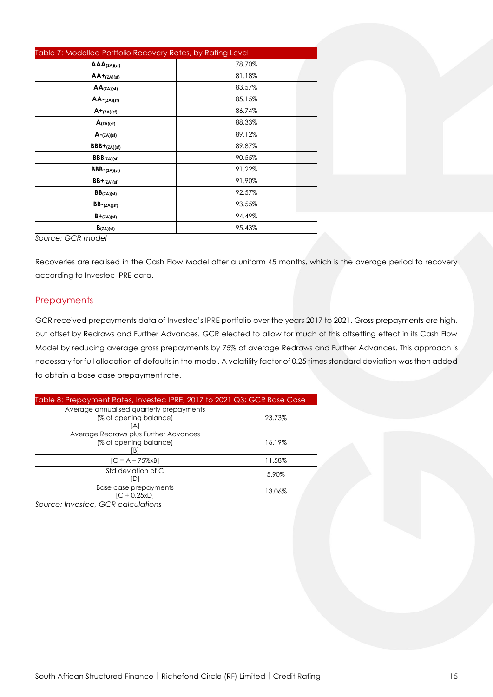| Table 7: Modelled Portfolio Recovery Rates, by Rating Level |        |  |  |  |  |
|-------------------------------------------------------------|--------|--|--|--|--|
| $AAA$ (ZA)(sf)                                              | 78.70% |  |  |  |  |
| $AA+_{(ZA)(sf)}$                                            | 81.18% |  |  |  |  |
| $AA$ (ZA)(sf)                                               | 83.57% |  |  |  |  |
| $AA$ - $(ZA)(sf)$                                           | 85.15% |  |  |  |  |
| $A + (ZA)(sf)$                                              | 86.74% |  |  |  |  |
| A(ZA)(sf)                                                   | 88.33% |  |  |  |  |
| $A - (ZA)(sf)$                                              | 89.12% |  |  |  |  |
| $BBB + (ZA)(sf)$                                            | 89.87% |  |  |  |  |
| $BBB_{(ZA)(sf)}$                                            | 90.55% |  |  |  |  |
| $BBB - (ZA)(sf)$                                            | 91.22% |  |  |  |  |
| $BB + (ZA)(sf)$                                             | 91.90% |  |  |  |  |
| BB <sub>(ZA)(sf)</sub>                                      | 92.57% |  |  |  |  |
| $BB - (ZA)(sf)$                                             | 93.55% |  |  |  |  |
| $B+_{(ZA)(sf)}$                                             | 94.49% |  |  |  |  |
| $B_{(ZA)(sf)}$                                              | 95.43% |  |  |  |  |

*Source: GCR model*

Recoveries are realised in the Cash Flow Model after a uniform 45 months, which is the average period to recovery according to Investec IPRE data.

#### **Prepayments**

GCR received prepayments data of Investec's IPRE portfolio over the years 2017 to 2021. Gross prepayments are high, but offset by Redraws and Further Advances. GCR elected to allow for much of this offsetting effect in its Cash Flow Model by reducing average gross prepayments by 75% of average Redraws and Further Advances. This approach is necessary for full allocation of defaults in the model. A volatility factor of 0.25 times standard deviation was then added to obtain a base case prepayment rate.

| Table 8: Prepayment Rates, Investec IPRE, 2017 to 2021 Q3; GCR Base Case |        |
|--------------------------------------------------------------------------|--------|
| Average annualised quarterly prepayments<br>(% of opening balance)<br>Ά  | 23.73% |
| Average Redraws plus Further Advances<br>(% of opening balance)<br>ΙB.   | 16.19% |
| $[C = A - 75%xB]$                                                        | 11.58% |
| Std deviation of C                                                       | 5.90%  |
| Base case prepayments<br>$IC + 0.25xDI$                                  | 13.06% |

*Source: Investec, GCR calculations*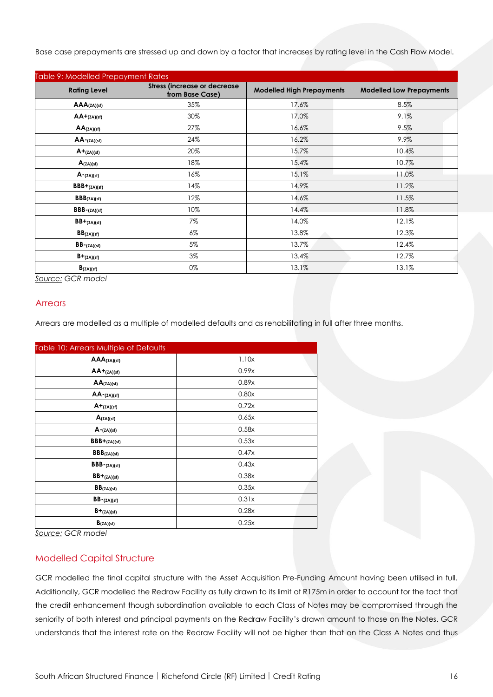Base case prepayments are stressed up and down by a factor that increases by rating level in the Cash Flow Model.

| Table 9: Modelled Prepayment Rates |                                                        |                                  |                                 |  |  |
|------------------------------------|--------------------------------------------------------|----------------------------------|---------------------------------|--|--|
| <b>Rating Level</b>                | <b>Stress (increase or decrease</b><br>from Base Case) | <b>Modelled High Prepayments</b> | <b>Modelled Low Prepayments</b> |  |  |
| $AAA$ (ZA)(sf)                     | 35%                                                    | 17.6%                            | 8.5%                            |  |  |
| $AA+_{(ZA)(sf)}$                   | 30%                                                    | 17.0%                            | 9.1%                            |  |  |
| $AA$ (ZA)(sf)                      | 27%                                                    | 16.6%                            | 9.5%                            |  |  |
| $AA$ - $(ZA)(sf)$                  | 24%                                                    | 16.2%                            | 9.9%                            |  |  |
| $A + (ZA)(sf)$                     | 20%                                                    | 15.7%                            | 10.4%                           |  |  |
| $A_{(ZA)(sf)}$                     | 18%                                                    | 15.4%                            | 10.7%                           |  |  |
| $A - (ZA)(sf)$                     | 16%                                                    | 15.1%                            | 11.0%                           |  |  |
| $BBB+(ZA)(sf)$                     | 14%                                                    | 14.9%                            | 11.2%                           |  |  |
| $BBB_{(ZA)(sf)}$                   | 12%                                                    | 14.6%                            | 11.5%                           |  |  |
| $BBB - (ZA)(sf)$                   | 10%                                                    | 14.4%                            | 11.8%                           |  |  |
| $BB + (ZA)(sf)$                    | 7%                                                     | 14.0%                            | 12.1%                           |  |  |
| BB(ZA)(sf)                         | 6%                                                     | 13.8%                            | 12.3%                           |  |  |
| $BB - (ZA)(sf)$                    | 5%                                                     | 13.7%                            | 12.4%                           |  |  |
| $B+_{(ZA)(sf)}$                    | $3\%$                                                  | 13.4%                            | 12.7%                           |  |  |
| B(ZA)(sf)                          | 0%                                                     | 13.1%                            | 13.1%                           |  |  |

*Source: GCR model*

#### **Arrears**

Arrears are modelled as a multiple of modelled defaults and as rehabilitating in full after three months.

| Table 10: Arrears Multiple of Defaults      |       |  |
|---------------------------------------------|-------|--|
| $AAA$ (ZA)(sf)                              | 1.10x |  |
| $AA+_{(ZA)(sf)}$                            | 0.99x |  |
| $AA$ (ZA)(sf)                               | 0.89x |  |
| $AA$ - $(ZA)(sf)$                           | 0.80x |  |
| $A + (ZA)(sf)$                              | 0.72x |  |
| $A_{(ZA)(sf)}$                              | 0.65x |  |
| $A - (ZA)(sf)$                              | 0.58x |  |
| $BBB+(ZA)(sf)$                              | 0.53x |  |
| $\mathsf{BBB}_{(\mathsf{ZA})(\mathsf{sf})}$ | 0.47x |  |
| $BBB - (ZA)(sf)$                            | 0.43x |  |
| $BB + (ZA)(sf)$                             | 0.38x |  |
| $BB$ (ZA)(sf)                               | 0.35x |  |
| $BB - (ZA)(sf)$                             | 0.31x |  |
| $B+_{(ZA)(sf)}$                             | 0.28x |  |
| $B_{(ZA)(sf)}$                              | 0.25x |  |

*Source: GCR model*

#### Modelled Capital Structure

GCR modelled the final capital structure with the Asset Acquisition Pre-Funding Amount having been utilised in full. Additionally, GCR modelled the Redraw Facility as fully drawn to its limit of R175m in order to account for the fact that the credit enhancement though subordination available to each Class of Notes may be compromised through the seniority of both interest and principal payments on the Redraw Facility's drawn amount to those on the Notes. GCR understands that the interest rate on the Redraw Facility will not be higher than that on the Class A Notes and thus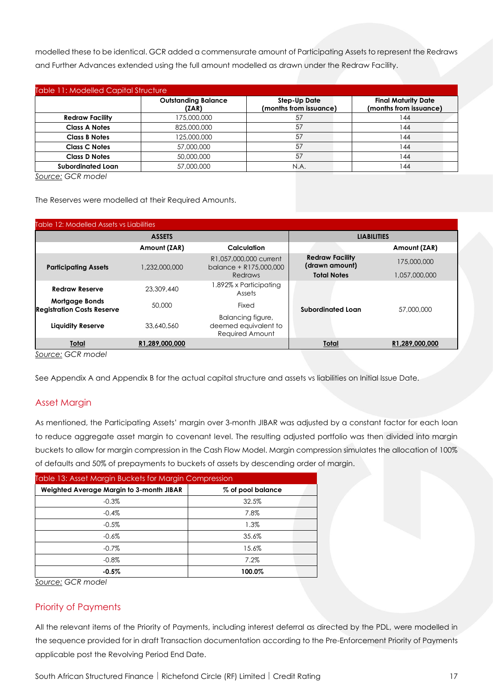modelled these to be identical. GCR added a commensurate amount of Participating Assets to represent the Redraws and Further Advances extended using the full amount modelled as drawn under the Redraw Facility.

| <b>Table 11: Modelled Capital Structure</b> |                                     |                                               |                                                      |  |  |
|---------------------------------------------|-------------------------------------|-----------------------------------------------|------------------------------------------------------|--|--|
|                                             | <b>Outstanding Balance</b><br>(ZAR) | <b>Step-Up Date</b><br>(months from issuance) | <b>Final Maturity Date</b><br>(months from issuance) |  |  |
| <b>Redraw Facility</b>                      | 175,000,000                         | 57                                            | 144                                                  |  |  |
| <b>Class A Notes</b>                        | 825,000,000                         | 57                                            | 144                                                  |  |  |
| <b>Class B Notes</b>                        | 125,000,000                         | 57                                            | 144                                                  |  |  |
| <b>Class C Notes</b>                        | 57,000,000                          | 57                                            | 144                                                  |  |  |
| <b>Class D Notes</b>                        | 50,000,000                          | 57                                            | 144                                                  |  |  |
| <b>Subordinated Loan</b>                    | 57,000,000                          | N.A.                                          | 144                                                  |  |  |

*Source: GCR model*

The Reserves were modelled at their Required Amounts.

| Table 12: Modelled Assets vs Liabilities                   |                |                                                              |                                          |                |
|------------------------------------------------------------|----------------|--------------------------------------------------------------|------------------------------------------|----------------|
| <b>ASSETS</b>                                              |                | <b>LIABILITIES</b>                                           |                                          |                |
|                                                            | Amount (ZAR)   | Calculation                                                  |                                          | Amount (ZAR)   |
| <b>Participating Assets</b>                                | 1,232,000,000  | R1,057,000,000 current<br>balance + R175,000,000             | <b>Redraw Facility</b><br>(drawn amount) | 175,000,000    |
|                                                            |                | Redraws                                                      | <b>Total Notes</b>                       | 1,057,000,000  |
| <b>Redraw Reserve</b>                                      | 23,309,440     | .892% x Participating<br>Assets                              |                                          |                |
| <b>Mortgage Bonds</b><br><b>Registration Costs Reserve</b> | 50,000         | Fixed                                                        | Subordinated Loan                        | 57,000,000     |
| <b>Liquidity Reserve</b>                                   | 33,640,560     | Balancing figure,<br>deemed equivalent to<br>Required Amount |                                          |                |
| Total                                                      | R1,289,000,000 |                                                              | <b>Total</b>                             | R1,289,000,000 |
| $l$ auraa: $CCD$ madal                                     |                |                                                              |                                          |                |

*Source: GCR model*

See Appendix A and Appendix B for the actual capital structure and assets vs liabilities on Initial Issue Date.

#### Asset Margin

As mentioned, the Participating Assets' margin over 3-month JIBAR was adjusted by a constant factor for each loan to reduce aggregate asset margin to covenant level. The resulting adjusted portfolio was then divided into margin buckets to allow for margin compression in the Cash Flow Model. Margin compression simulates the allocation of 100% of defaults and 50% of prepayments to buckets of assets by descending order of margin.

| Table 13: Asset Margin Buckets for Margin Compression |                   |  |  |  |
|-------------------------------------------------------|-------------------|--|--|--|
| Weighted Average Margin to 3-month JIBAR              | % of pool balance |  |  |  |
| $-0.3%$                                               | 32.5%             |  |  |  |
| $-0.4%$                                               | 7.8%              |  |  |  |
| $-0.5%$                                               | 1.3%              |  |  |  |
| $-0.6%$                                               | 35.6%             |  |  |  |
| $-0.7%$                                               | 15.6%             |  |  |  |
| $-0.8%$                                               | 7.2%              |  |  |  |
| $-0.5%$                                               | 100.0%            |  |  |  |

*Source: GCR model*

#### Priority of Payments

All the relevant items of the Priority of Payments, including interest deferral as directed by the PDL, were modelled in the sequence provided for in draft Transaction documentation according to the Pre-Enforcement Priority of Payments applicable post the Revolving Period End Date.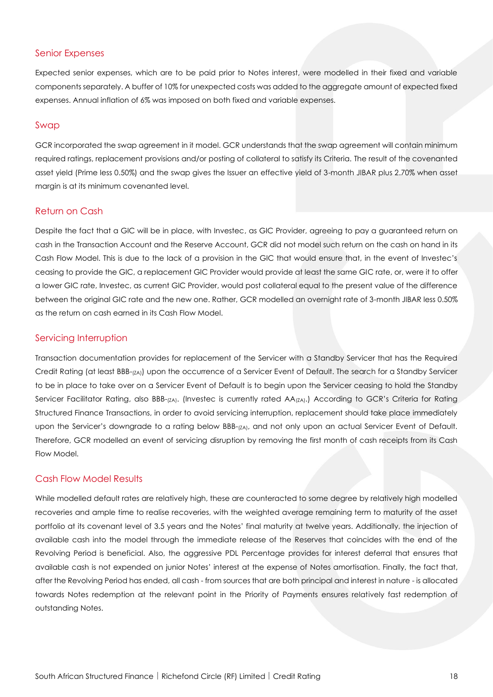#### Senior Expenses

Expected senior expenses, which are to be paid prior to Notes interest, were modelled in their fixed and variable components separately. A buffer of 10% for unexpected costs was added to the aggregate amount of expected fixed expenses. Annual inflation of 6% was imposed on both fixed and variable expenses.

#### Swap

GCR incorporated the swap agreement in it model. GCR understands that the swap agreement will contain minimum required ratings, replacement provisions and/or posting of collateral to satisfy its Criteria. The result of the covenanted asset yield (Prime less 0.50%) and the swap gives the Issuer an effective yield of 3-month JIBAR plus 2.70% when asset margin is at its minimum covenanted level.

#### Return on Cash

Despite the fact that a GIC will be in place, with Investec, as GIC Provider, agreeing to pay a guaranteed return on cash in the Transaction Account and the Reserve Account, GCR did not model such return on the cash on hand in its Cash Flow Model. This is due to the lack of a provision in the GIC that would ensure that, in the event of Investec's ceasing to provide the GIC, a replacement GIC Provider would provide at least the same GIC rate, or, were it to offer a lower GIC rate, Investec, as current GIC Provider, would post collateral equal to the present value of the difference between the original GIC rate and the new one. Rather, GCR modelled an overnight rate of 3-month JIBAR less 0.50% as the return on cash earned in its Cash Flow Model.

#### Servicing Interruption

Transaction documentation provides for replacement of the Servicer with a Standby Servicer that has the Required Credit Rating (at least BBB-(ZA)) upon the occurrence of a Servicer Event of Default. The search for a Standby Servicer to be in place to take over on a Servicer Event of Default is to begin upon the Servicer ceasing to hold the Standby Servicer Facilitator Rating, also BBB-<sub>(ZA)</sub>. (Investec is currently rated AA<sub>(ZA)</sub>.) According to GCR's Criteria for Rating Structured Finance Transactions, in order to avoid servicing interruption, replacement should take place immediately upon the Servicer's downgrade to a rating below BBB-<sub>(ZA)</sub>, and not only upon an actual Servicer Event of Default. Therefore, GCR modelled an event of servicing disruption by removing the first month of cash receipts from its Cash Flow Model.

#### Cash Flow Model Results

While modelled default rates are relatively high, these are counteracted to some degree by relatively high modelled recoveries and ample time to realise recoveries, with the weighted average remaining term to maturity of the asset portfolio at its covenant level of 3.5 years and the Notes' final maturity at twelve years. Additionally, the injection of available cash into the model through the immediate release of the Reserves that coincides with the end of the Revolving Period is beneficial. Also, the aggressive PDL Percentage provides for interest deferral that ensures that available cash is not expended on junior Notes' interest at the expense of Notes amortisation. Finally, the fact that, after the Revolving Period has ended, all cash - from sources that are both principal and interest in nature - is allocated towards Notes redemption at the relevant point in the Priority of Payments ensures relatively fast redemption of outstanding Notes.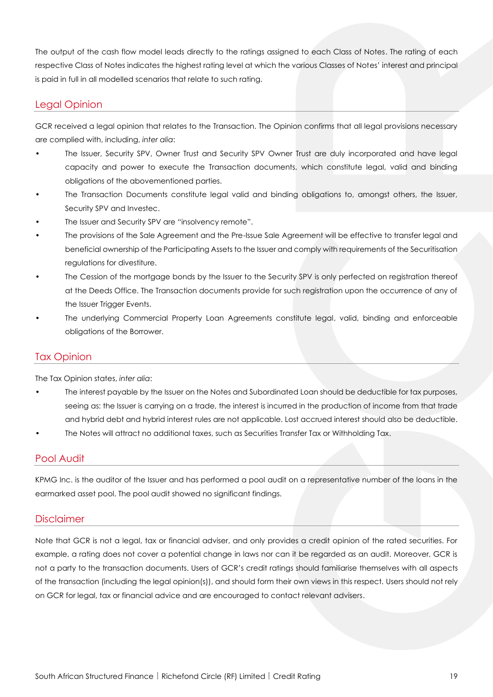The output of the cash flow model leads directly to the ratings assigned to each Class of Notes. The rating of each respective Class of Notes indicates the highest rating level at which the various Classes of Notes' interest and principal is paid in full in all modelled scenarios that relate to such rating.

#### Legal Opinion

GCR received a legal opinion that relates to the Transaction. The Opinion confirms that all legal provisions necessary are complied with, including, *inter alia*:

- The Issuer, Security SPV, Owner Trust and Security SPV Owner Trust are duly incorporated and have legal capacity and power to execute the Transaction documents, which constitute legal, valid and binding obligations of the abovementioned parties.
- The Transaction Documents constitute legal valid and binding obligations to, amongst others, the Issuer, Security SPV and Investec.
- The Issuer and Security SPV are "insolvency remote".
- The provisions of the Sale Agreement and the Pre-Issue Sale Agreement will be effective to transfer legal and beneficial ownership of the Participating Assets to the Issuer and comply with requirements of the Securitisation regulations for divestiture.
- The Cession of the mortgage bonds by the Issuer to the Security SPV is only perfected on registration thereof at the Deeds Office. The Transaction documents provide for such registration upon the occurrence of any of the Issuer Trigger Events.
- The underlying Commercial Property Loan Agreements constitute legal, valid, binding and enforceable obligations of the Borrower.

#### Tax Opinion

The Tax Opinion states, *inter alia*:

- The interest payable by the Issuer on the Notes and Subordinated Loan should be deductible for tax purposes, seeing as: the Issuer is carrying on a trade, the interest is incurred in the production of income from that trade and hybrid debt and hybrid interest rules are not applicable. Lost accrued interest should also be deductible.
- The Notes will attract no additional taxes, such as Securities Transfer Tax or Withholding Tax.

### Pool Audit

KPMG Inc. is the auditor of the Issuer and has performed a pool audit on a representative number of the loans in the earmarked asset pool. The pool audit showed no significant findings.

#### **Disclaimer**

Note that GCR is not a legal, tax or financial adviser, and only provides a credit opinion of the rated securities. For example, a rating does not cover a potential change in laws nor can it be regarded as an audit. Moreover, GCR is not a party to the transaction documents. Users of GCR's credit ratings should familiarise themselves with all aspects of the transaction (including the legal opinion(s)), and should form their own views in this respect. Users should not rely on GCR for legal, tax or financial advice and are encouraged to contact relevant advisers.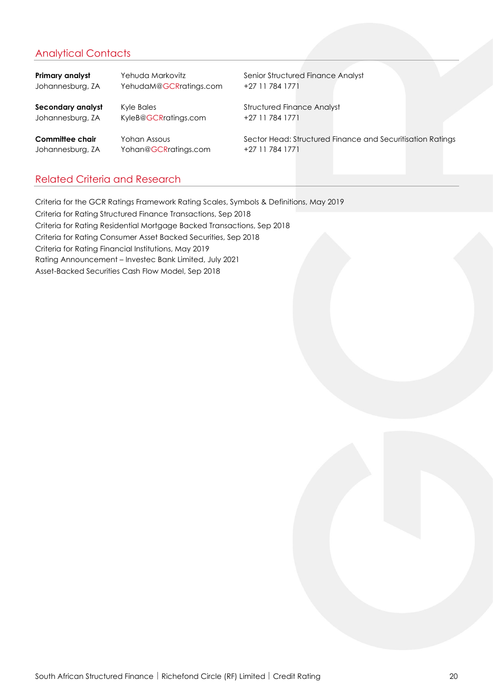# Analytical Contacts

**Primary analyst** Yehuda Markovitz **Senior Structured Finance Analyst** Senior Structured Finance Analyst Johannesburg, ZA YehudaM@GCRratings.com +27 11 784 1771 **Secondary analyst** Kyle Bales **Kyle Bales** Structured Finance Analyst Johannesburg, ZA KyleB@GCRratings.com +27 11 784 1771

Johannesburg, ZA Yohan@GCRratings.com +27 11 784 1771

**Committee chair** Yohan Assous Sector Head: Structured Finance and Securitisation Ratings

# Related Criteria and Research

Criteria for the GCR Ratings Framework Rating Scales, Symbols & Definitions, May 2019 Criteria for Rating Structured Finance Transactions, Sep 2018 Criteria for Rating Residential Mortgage Backed Transactions, Sep 2018 Criteria for Rating Consumer Asset Backed Securities, Sep 2018 Criteria for Rating Financial Institutions, May 2019 Rating Announcement – Investec Bank Limited, July 2021 Asset-Backed Securities Cash Flow Model, Sep 2018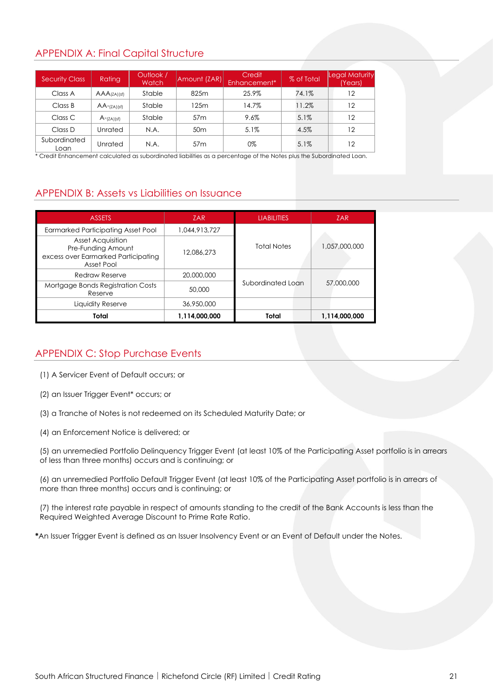# APPENDIX A: Final Capital Structure

| <b>Security Class</b> | Rating                     | Outlook /<br>Watch | Amount (ZAR)    | Credit<br>Enhancement <sup>*</sup> | % of Total | Legal Maturity<br><b>Years</b> |
|-----------------------|----------------------------|--------------------|-----------------|------------------------------------|------------|--------------------------------|
| Class A               | $AAA$ <sub>(ZA)</sub> (sf) | Stable             | 825m            | 25.9%                              | 74.1%      | 12                             |
| Class B               | $AA$ -(ZA)(sf)             | Stable             | 125m            | 14.7%                              | 11.2%      | 12                             |
| Class C               | $A$ -(ZA)(sf)              | Stable             | 57 <sub>m</sub> | 9.6%                               | 5.1%       | 12                             |
| Class D               | Unrated                    | N.A.               | 50 <sub>m</sub> | 5.1%                               | 4.5%       | 12                             |
| Subordinated<br>Loan  | Unrated                    | N.A.               | 57 <sub>m</sub> | 0%                                 | $5.1\%$    | 12                             |

\* Credit Enhancement calculated as subordinated liabilities as a percentage of the Notes plus the Subordinated Loan.

# APPENDIX B: Assets vs Liabilities on Issuance

| <b>ASSETS</b>                                                                                       | <b>ZAR</b>    | <b>LIABILITIES</b> | <b>ZAR</b>    |
|-----------------------------------------------------------------------------------------------------|---------------|--------------------|---------------|
| <b>Earmarked Participating Asset Pool</b>                                                           | 1,044,913,727 |                    |               |
| <b>Asset Acquisition</b><br>Pre-Funding Amount<br>excess over Earmarked Participating<br>Asset Pool | 12,086,273    | <b>Total Notes</b> | 1,057,000,000 |
| <b>Redraw Reserve</b>                                                                               | 20,000,000    |                    |               |
| Mortgage Bonds Registration Costs<br>Reserve                                                        | 50,000        | Subordinated Loan  | 57,000,000    |
| Liquidity Reserve                                                                                   | 36,950,000    |                    |               |
| Total                                                                                               | 1,114,000,000 | Total              | 1,114,000,000 |

# APPENDIX C: Stop Purchase Events

- (1) A Servicer Event of Default occurs; or
- (2) an Issuer Trigger Event\* occurs; or
- (3) a Tranche of Notes is not redeemed on its Scheduled Maturity Date; or
- (4) an Enforcement Notice is delivered; or

(5) an unremedied Portfolio Delinquency Trigger Event (at least 10% of the Participating Asset portfolio is in arrears of less than three months) occurs and is continuing; or

(6) an unremedied Portfolio Default Trigger Event (at least 10% of the Participating Asset portfolio is in arrears of more than three months) occurs and is continuing; or

(7) the interest rate payable in respect of amounts standing to the credit of the Bank Accounts is less than the Required Weighted Average Discount to Prime Rate Ratio.

**\***An Issuer Trigger Event is defined as an Issuer Insolvency Event or an Event of Default under the Notes.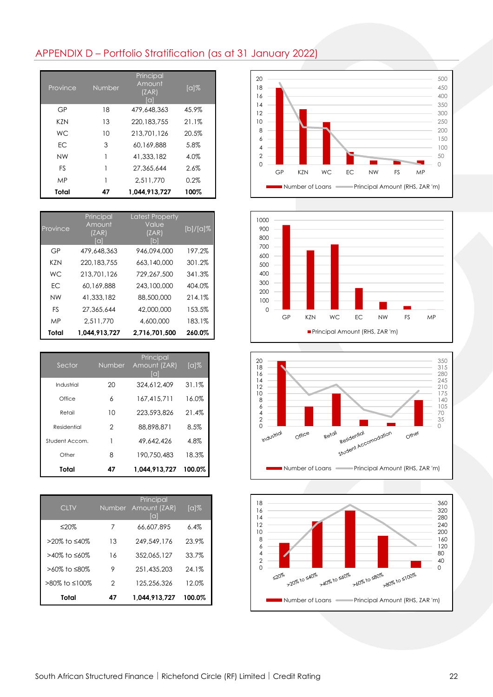# APPENDIX D – Portfolio Stratification (as at 31 January 2022)

| Province   | Number | Principal<br>Amount<br>(ZAR)<br>[a] | $\lceil \alpha \rceil \%$ |
|------------|--------|-------------------------------------|---------------------------|
| GP         | 18     | 479,648,363                         | 45.9%                     |
| <b>KZN</b> | 13     | 220, 183, 755                       | 21.1%                     |
| <b>WC</b>  | 10     | 213,701,126                         | 20.5%                     |
| EC         | 3      | 60.169.888                          | 5.8%                      |
| <b>NW</b>  | 1      | 41,333,182                          | 4.0%                      |
| <b>FS</b>  | 1      | 27,365,644                          | 2.6%                      |
| <b>MP</b>  |        | 2.511.770                           | $0.2\%$                   |
| Total      | 47     | 1,044,913,727                       | 100%                      |

| Province  | Principal<br>Amount<br>(ZAR)<br>ſal | <b>Latest Property</b><br>Value<br>(ZAR)<br>ſbl | $[b]/[a]\%$ |
|-----------|-------------------------------------|-------------------------------------------------|-------------|
| GP        | 479,648,363                         | 946.094.000                                     | 197.2%      |
| K7N       | 220.183.755                         | 663,140,000                                     | 301.2%      |
| WC.       | 213,701,126                         | 729.267.500                                     | 341.3%      |
| FC.       | 60.169.888                          | 243,100,000                                     | 404.0%      |
| <b>NW</b> | 41,333,182                          | 88,500,000                                      | 214.1%      |
| <b>FS</b> | 27.365.644                          | 42,000,000                                      | 153.5%      |
| MP        | 2.511.770                           | 4,600,000                                       | 183.1%      |
| Total     | 1.044.913.727                       | 2.716.701.500                                   | 260.0%      |

| Sector         | Number        | Principal<br>Amount (ZAR)<br>[a] | $\lceil \alpha \rceil \%$ |
|----------------|---------------|----------------------------------|---------------------------|
| Industrial     | 20            | 324,612,409                      | 31.1%                     |
| Office         | 6             | 167.415.711                      | 16.0%                     |
| Retail         | 10            | 223,593,826                      | 21.4%                     |
| Residential    | $\mathcal{P}$ | 88,898,871                       | 8.5%                      |
| Student Accom. | 1             | 49,642,426                       | 4.8%                      |
| Other          | 8             | 190.750.483                      | 18.3%                     |
| Total          | 47            | 1.044.913.727                    | 100.0%                    |

| <b>CLTV</b>            | <b>Number</b> | Principal<br>Amount (ZAR)<br>lal | $\lceil \alpha \rceil \%$ |
|------------------------|---------------|----------------------------------|---------------------------|
| ≤20%                   | 7             | 66,607,895                       | 6.4%                      |
| >20% to ≤40%           | 13            | 249,549,176                      | 23.9%                     |
| $>40\%$ to $\leq 60\%$ | 16            | 352.065.127                      | 33.7%                     |
| >60% to ≤80%           | 9             | 251,435,203                      | 24.1%                     |
| >80% to ≤100%          | 2             | 125.256.326                      | 12.0%                     |
| Total                  | 47            | 1.044.913.727                    | 100.0%                    |







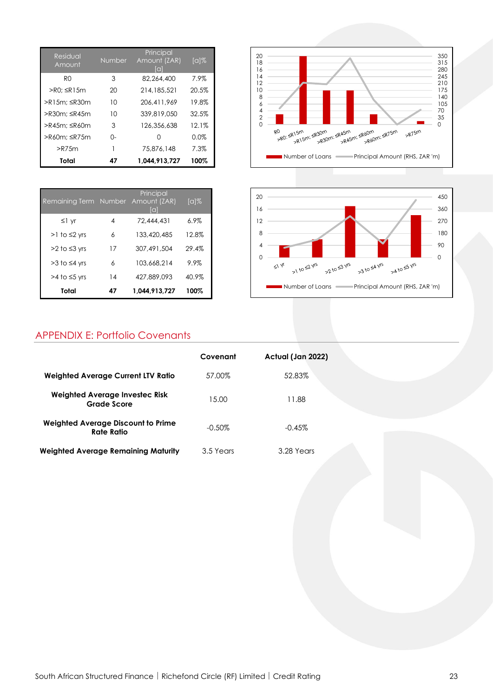| Residual<br>Amount | <b>Number</b> | Principal<br>Amount (ZAR)<br>lai | $\lceil \alpha \rceil \%$ |
|--------------------|---------------|----------------------------------|---------------------------|
| R <sub>0</sub>     | 3             | 82,264,400                       | 7.9%                      |
| >R0: ≤R15m         | 20            | 214,185,521                      | 20.5%                     |
| >R15m: ≤R30m       | 10            | 206.411.969                      | 19.8%                     |
| >R30m: ≤R45m       | 10            | 339,819,050                      | 32.5%                     |
| >R45m: ≤R60m       | 3             | 126,356,638                      | 12.1%                     |
| >R60m: ≤R75m       | O-            | Ω                                | 0.0%                      |
| $>$ R75 $m$        |               | 75,876,148                       | 7.3%                      |
| Total              | 47            | 1.044.913.727                    | 100%                      |

| Remaining Term Number Amount (ZAR) |    | Principal<br>lal | $\lceil \alpha \rceil \%$ |
|------------------------------------|----|------------------|---------------------------|
| $\leq$ 1 yr                        | 4  | 72,444,431       | $6.9\%$                   |
| $>1$ to $\leq$ 2 yrs               | 6  | 133,420,485      | 12.8%                     |
| $>2$ to $\leq$ 3 yrs               | 17 | 307,491,504      | 29.4%                     |
| $>3$ to $\leq 4$ yrs               | 6  | 103,668,214      | $9.9\%$                   |
| $>4$ to $\leq$ 5 yrs               | 14 | 427,889,093      | 40.9%                     |
| Total                              | 47 | 1.044.913.727    | 100%                      |





# APPENDIX E: Portfolio Covenants

|                                                      | Covenant  | Actual (Jan 2022) |  |
|------------------------------------------------------|-----------|-------------------|--|
| <b>Weighted Average Current LTV Ratio</b>            | 57.00%    | 52.83%            |  |
| <b>Weighted Average Investec Risk</b><br>Grade Score | 15.00     | 11.88             |  |
| Weighted Average Discount to Prime<br>Rate Ratio     | $-0.50\%$ | $-0.45%$          |  |
| <b>Weighted Average Remaining Maturity</b>           | 3.5 Years | 3.28 Years        |  |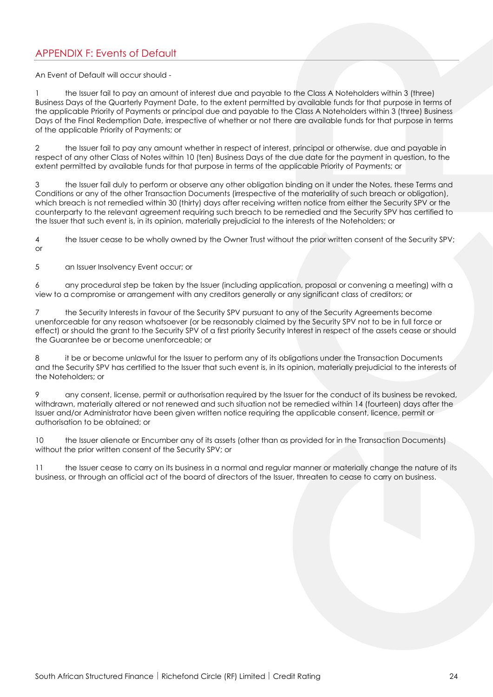# APPENDIX F: Events of Default

An Event of Default will occur should -

1 the Issuer fail to pay an amount of interest due and payable to the Class A Noteholders within 3 (three) Business Days of the Quarterly Payment Date, to the extent permitted by available funds for that purpose in terms of the applicable Priority of Payments or principal due and payable to the Class A Noteholders within 3 (three) Business Days of the Final Redemption Date, irrespective of whether or not there are available funds for that purpose in terms of the applicable Priority of Payments; or

2 the Issuer fail to pay any amount whether in respect of interest, principal or otherwise, due and payable in respect of any other Class of Notes within 10 (ten) Business Days of the due date for the payment in question, to the extent permitted by available funds for that purpose in terms of the applicable Priority of Payments; or

3 the Issuer fail duly to perform or observe any other obligation binding on it under the Notes, these Terms and Conditions or any of the other Transaction Documents (irrespective of the materiality of such breach or obligation), which breach is not remedied within 30 (thirty) days after receiving written notice from either the Security SPV or the counterparty to the relevant agreement requiring such breach to be remedied and the Security SPV has certified to the Issuer that such event is, in its opinion, materially prejudicial to the interests of the Noteholders; or

4 the Issuer cease to be wholly owned by the Owner Trust without the prior written consent of the Security SPV; or

5 an Issuer Insolvency Event occur; or

6 any procedural step be taken by the Issuer (including application, proposal or convening a meeting) with a view to a compromise or arrangement with any creditors generally or any significant class of creditors; or

7 the Security Interests in favour of the Security SPV pursuant to any of the Security Agreements become unenforceable for any reason whatsoever (or be reasonably claimed by the Security SPV not to be in full force or effect) or should the grant to the Security SPV of a first priority Security Interest in respect of the assets cease or should the Guarantee be or become unenforceable; or

8 it be or become unlawful for the Issuer to perform any of its obligations under the Transaction Documents and the Security SPV has certified to the Issuer that such event is, in its opinion, materially prejudicial to the interests of the Noteholders; or

9 any consent, license, permit or authorisation required by the Issuer for the conduct of its business be revoked, withdrawn, materially altered or not renewed and such situation not be remedied within 14 (fourteen) days after the Issuer and/or Administrator have been given written notice requiring the applicable consent, licence, permit or authorisation to be obtained; or

10 the Issuer alienate or Encumber any of its assets (other than as provided for in the Transaction Documents) without the prior written consent of the Security SPV; or

11 the Issuer cease to carry on its business in a normal and regular manner or materially change the nature of its business, or through an official act of the board of directors of the Issuer, threaten to cease to carry on business.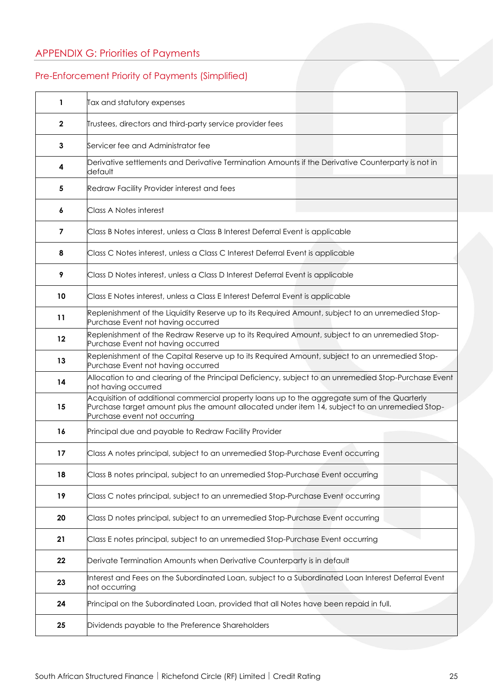# APPENDIX G: Priorities of Payments

# Pre-Enforcement Priority of Payments (Simplified)

| $\mathbf{1}$      | Tax and statutory expenses                                                                                                                                                                                                     |  |  |  |
|-------------------|--------------------------------------------------------------------------------------------------------------------------------------------------------------------------------------------------------------------------------|--|--|--|
| $\mathbf{2}$      | Trustees, directors and third-party service provider fees                                                                                                                                                                      |  |  |  |
| 3                 | Servicer fee and Administrator fee                                                                                                                                                                                             |  |  |  |
| 4                 | Derivative settlements and Derivative Termination Amounts if the Derivative Counterparty is not in<br>default                                                                                                                  |  |  |  |
| 5                 | Redraw Facility Provider interest and fees                                                                                                                                                                                     |  |  |  |
| 6                 | <b>Class A Notes interest</b>                                                                                                                                                                                                  |  |  |  |
| 7                 | Class B Notes interest, unless a Class B Interest Deferral Event is applicable                                                                                                                                                 |  |  |  |
| 8                 | Class C Notes interest, unless a Class C Interest Deferral Event is applicable                                                                                                                                                 |  |  |  |
| 9                 | Class D Notes interest, unless a Class D Interest Deferral Event is applicable                                                                                                                                                 |  |  |  |
| 10                | Class E Notes interest, unless a Class E Interest Deferral Event is applicable                                                                                                                                                 |  |  |  |
| 11                | Replenishment of the Liquidity Reserve up to its Required Amount, subject to an unremedied Stop-<br>Purchase Event not having occurred                                                                                         |  |  |  |
| $12 \overline{ }$ | Replenishment of the Redraw Reserve up to its Required Amount, subject to an unremedied Stop-<br>Purchase Event not having occurred                                                                                            |  |  |  |
| 13                | Replenishment of the Capital Reserve up to its Required Amount, subject to an unremedied Stop-<br>Purchase Event not having occurred                                                                                           |  |  |  |
| 14                | Allocation to and clearing of the Principal Deficiency, subject to an unremedied Stop-Purchase Event<br>not having occurred                                                                                                    |  |  |  |
| 15                | Acquisition of additional commercial property loans up to the aggregate sum of the Quarterly<br>Purchase target amount plus the amount allocated under item 14, subject to an unremedied Stop-<br>Purchase event not occurring |  |  |  |
| 16                | Principal due and payable to Redraw Facility Provider                                                                                                                                                                          |  |  |  |
| 17                | Class A notes principal, subject to an unremedied Stop-Purchase Event occurring                                                                                                                                                |  |  |  |
| 18                | Class B notes principal, subject to an unremedied Stop-Purchase Event occurring                                                                                                                                                |  |  |  |
| 19                | Class C notes principal, subject to an unremedied Stop-Purchase Event occurring                                                                                                                                                |  |  |  |
| 20                | Class D notes principal, subject to an unremedied Stop-Purchase Event occurring                                                                                                                                                |  |  |  |
| 21                | Class E notes principal, subject to an unremedied Stop-Purchase Event occurring                                                                                                                                                |  |  |  |
| 22                | Derivate Termination Amounts when Derivative Counterparty is in default                                                                                                                                                        |  |  |  |
| 23                | Interest and Fees on the Subordinated Loan, subject to a Subordinated Loan Interest Deferral Event<br>not occurring                                                                                                            |  |  |  |
| 24                | Principal on the Subordinated Loan, provided that all Notes have been repaid in full.                                                                                                                                          |  |  |  |
| 25                | Dividends payable to the Preference Shareholders                                                                                                                                                                               |  |  |  |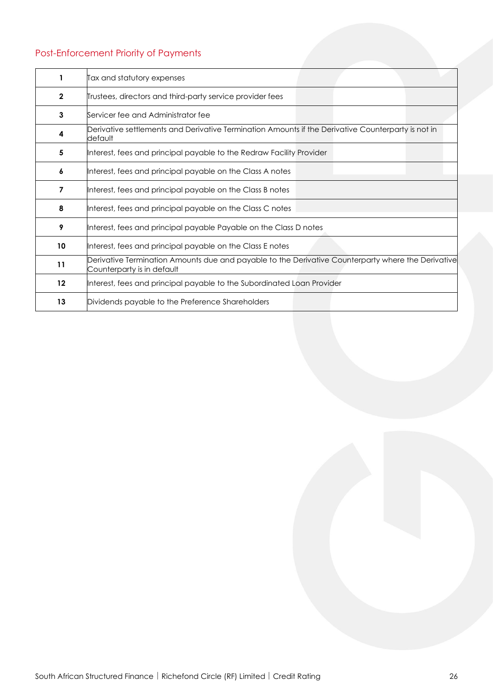# Post-Enforcement Priority of Payments

|              | Tax and statutory expenses                                                                                                       |
|--------------|----------------------------------------------------------------------------------------------------------------------------------|
| $\mathbf{2}$ | Trustees, directors and third-party service provider fees                                                                        |
| 3            | Servicer fee and Administrator fee                                                                                               |
| 4            | Derivative settlements and Derivative Termination Amounts if the Derivative Counterparty is not in<br>default                    |
| 5            | Interest, fees and principal payable to the Redraw Facility Provider                                                             |
| 6            | Interest, fees and principal payable on the Class A notes                                                                        |
| 7            | Interest, fees and principal payable on the Class B notes                                                                        |
| 8            | Interest, fees and principal payable on the Class C notes                                                                        |
| 9            | Interest, fees and principal payable Payable on the Class D notes                                                                |
| 10           | Interest, fees and principal payable on the Class E notes                                                                        |
| 11           | Derivative Termination Amounts due and payable to the Derivative Counterparty where the Derivative<br>Counterparty is in default |
| 12           | Interest, fees and principal payable to the Subordinated Loan Provider                                                           |
| 13           | Dividends payable to the Preference Shareholders                                                                                 |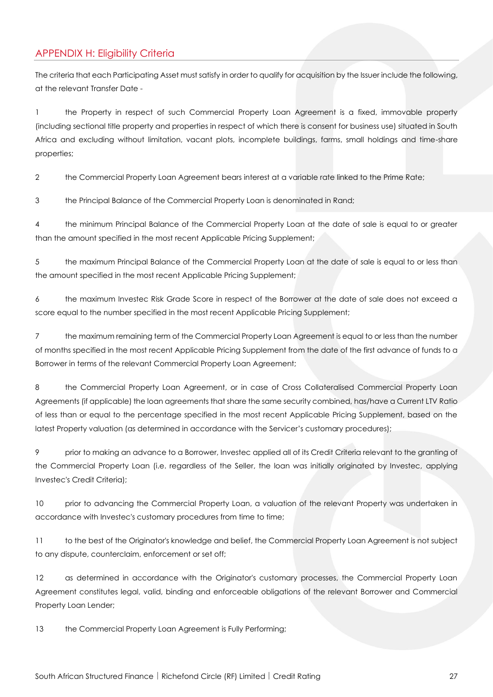# APPENDIX H: Eligibility Criteria

The criteria that each Participating Asset must satisfy in order to qualify for acquisition by the Issuer include the following, at the relevant Transfer Date -

1 the Property in respect of such Commercial Property Loan Agreement is a fixed, immovable property (including sectional title property and properties in respect of which there is consent for business use) situated in South Africa and excluding without limitation, vacant plots, incomplete buildings, farms, small holdings and time-share properties;

2 the Commercial Property Loan Agreement bears interest at a variable rate linked to the Prime Rate;

3 the Principal Balance of the Commercial Property Loan is denominated in Rand;

4 the minimum Principal Balance of the Commercial Property Loan at the date of sale is equal to or greater than the amount specified in the most recent Applicable Pricing Supplement;

5 the maximum Principal Balance of the Commercial Property Loan at the date of sale is equal to or less than the amount specified in the most recent Applicable Pricing Supplement;

6 the maximum Investec Risk Grade Score in respect of the Borrower at the date of sale does not exceed a score equal to the number specified in the most recent Applicable Pricing Supplement;

7 the maximum remaining term of the Commercial Property Loan Agreement is equal to or less than the number of months specified in the most recent Applicable Pricing Supplement from the date of the first advance of funds to a Borrower in terms of the relevant Commercial Property Loan Agreement;

8 the Commercial Property Loan Agreement, or in case of Cross Collateralised Commercial Property Loan Agreements (if applicable) the loan agreements that share the same security combined, has/have a Current LTV Ratio of less than or equal to the percentage specified in the most recent Applicable Pricing Supplement, based on the latest Property valuation (as determined in accordance with the Servicer's customary procedures);

9 prior to making an advance to a Borrower, Investec applied all of its Credit Criteria relevant to the granting of the Commercial Property Loan (i.e. regardless of the Seller, the loan was initially originated by Investec, applying Investec's Credit Criteria);

10 prior to advancing the Commercial Property Loan, a valuation of the relevant Property was undertaken in accordance with Investec's customary procedures from time to time;

11 to the best of the Originator's knowledge and belief, the Commercial Property Loan Agreement is not subject to any dispute, counterclaim, enforcement or set off;

12 as determined in accordance with the Originator's customary processes, the Commercial Property Loan Agreement constitutes legal, valid, binding and enforceable obligations of the relevant Borrower and Commercial Property Loan Lender;

13 the Commercial Property Loan Agreement is Fully Performing;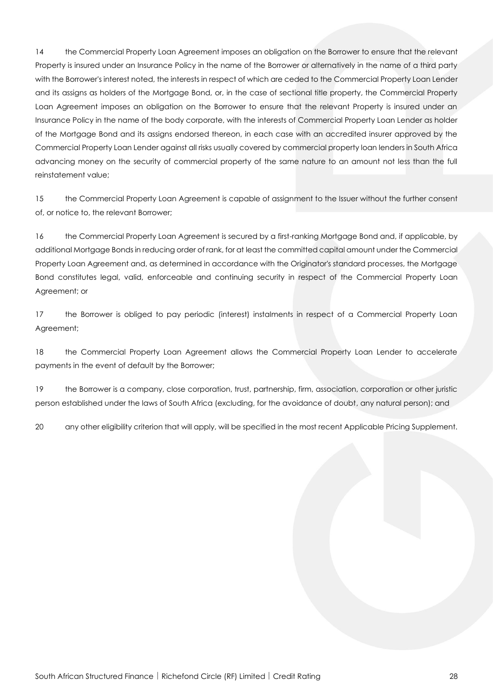14 the Commercial Property Loan Agreement imposes an obligation on the Borrower to ensure that the relevant Property is insured under an Insurance Policy in the name of the Borrower or alternatively in the name of a third party with the Borrower's interest noted, the interests in respect of which are ceded to the Commercial Property Loan Lender and its assigns as holders of the Mortgage Bond, or, in the case of sectional title property, the Commercial Property Loan Agreement imposes an obligation on the Borrower to ensure that the relevant Property is insured under an Insurance Policy in the name of the body corporate, with the interests of Commercial Property Loan Lender as holder of the Mortgage Bond and its assigns endorsed thereon, in each case with an accredited insurer approved by the Commercial Property Loan Lender against all risks usually covered by commercial property loan lenders in South Africa advancing money on the security of commercial property of the same nature to an amount not less than the full reinstatement value;

15 the Commercial Property Loan Agreement is capable of assignment to the Issuer without the further consent of, or notice to, the relevant Borrower;

16 the Commercial Property Loan Agreement is secured by a first-ranking Mortgage Bond and, if applicable, by additional Mortgage Bonds in reducing order of rank, for at least the committed capital amount under the Commercial Property Loan Agreement and, as determined in accordance with the Originator's standard processes, the Mortgage Bond constitutes legal, valid, enforceable and continuing security in respect of the Commercial Property Loan Agreement; or

17 the Borrower is obliged to pay periodic (interest) instalments in respect of a Commercial Property Loan Agreement;

18 the Commercial Property Loan Agreement allows the Commercial Property Loan Lender to accelerate payments in the event of default by the Borrower;

19 the Borrower is a company, close corporation, trust, partnership, firm, association, corporation or other juristic person established under the laws of South Africa (excluding, for the avoidance of doubt, any natural person); and

20 any other eligibility criterion that will apply, will be specified in the most recent Applicable Pricing Supplement.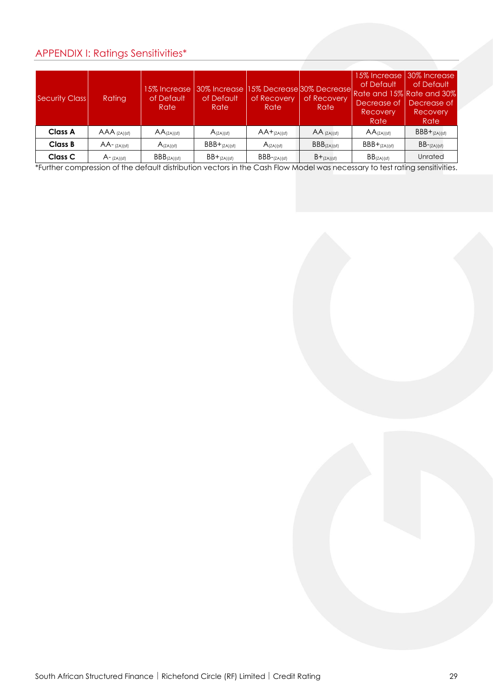# APPENDIX I: Ratings Sensitivities\*

| <b>Security Class</b> | Rating          | 15% Increase<br>of Default<br>Rate | 30% Increase l<br>of Default<br>Rate | of Recovery<br>Rate | of Recovery<br>Rate     | 15% Increase<br>of Default<br>15% Decrease 30% Decrease Rate and 15% Rate and 30%<br>Decrease of<br>Recovery<br>Rate | 30% Increase<br>of Default<br>Decrease of<br>Recovery<br>Rate |
|-----------------------|-----------------|------------------------------------|--------------------------------------|---------------------|-------------------------|----------------------------------------------------------------------------------------------------------------------|---------------------------------------------------------------|
| <b>Class A</b>        | $AAA$ (ZA)(sf)  | $AA$ <sub>(ZA)</sub> (sf)          | $A_{(ZA)(sf)}$                       | $AA+_{(ZA)(sf)}$    | $AA$ (ZA)(sf)           | $AA$ <sub>(ZA)</sub> (sf)                                                                                            | $BBB+(ZA)(sf)$                                                |
| <b>Class B</b>        | $AA$ - (ZA)(sf) | $A_{(ZA)(sf)}$                     | $BBB+(ZA)(sf)$                       | $A_{(ZA)(sf)}$      | BBB <sub>(ZA)(sf)</sub> | $BBB+(ZA)(sf)$                                                                                                       | $BB$ - $(ZA)(sf)$                                             |
| Class C               | $A$ – (ZA)(sf)  | BBB <sub>(ZA)(sf)</sub>            | $BB+_{(ZA)(sf)}$                     | $BBB$ - $(ZA)(sf)$  | $B+_{(ZA)(sf)}$         | BB <sub>(ZA)(sf)</sub>                                                                                               | Unrated                                                       |

\*Further compression of the default distribution vectors in the Cash Flow Model was necessary to test rating sensitivities.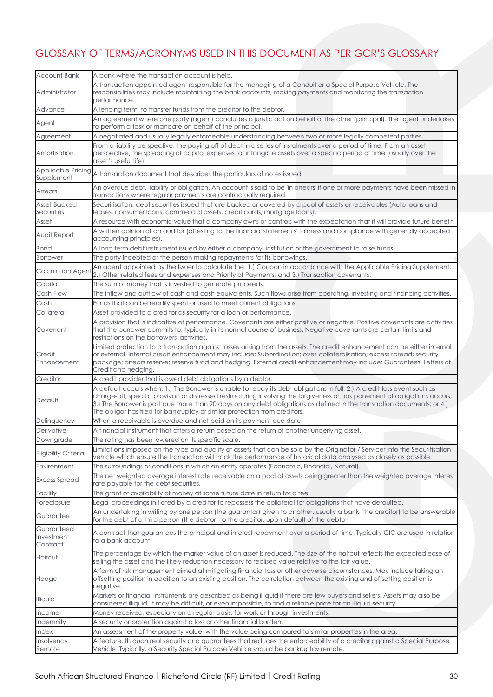# GLOSSARY OF TERMS/ACRONYMS USED IN THIS DOCUMENT AS PER GCR'S GLOSSARY

| <b>Account Bank</b>                  | A bank where the transaction account is held.                                                                                                                                                                                                                                                                                                                                                                                                                   |  |  |  |  |  |
|--------------------------------------|-----------------------------------------------------------------------------------------------------------------------------------------------------------------------------------------------------------------------------------------------------------------------------------------------------------------------------------------------------------------------------------------------------------------------------------------------------------------|--|--|--|--|--|
| Administrator                        | A transaction appointed agent responsible for the managing of a Conduit or a Special Purpose Vehicle, The<br>responsibilities may include maintaining the bank accounts, making payments and monitoring the transaction<br>performance.                                                                                                                                                                                                                         |  |  |  |  |  |
| Advance                              | A lending term, to transfer funds from the creditor to the debtor.                                                                                                                                                                                                                                                                                                                                                                                              |  |  |  |  |  |
| Agent                                | An agreement where one party (agent) concludes a juristic act on behalf of the other (principal). The agent undertakes<br>to perform a task or mandate on behalf of the principal.                                                                                                                                                                                                                                                                              |  |  |  |  |  |
| Agreement                            | A negotiated and usually legally enforceable understanding between two or more legally competent parties.                                                                                                                                                                                                                                                                                                                                                       |  |  |  |  |  |
| Amortisation                         | From a liability perspective, the paying off of debt in a series of instalments over a period of time. From an asset<br>perspective, the spreading of capital expenses for intangible assets over a specific period of time (usually over the<br>asset's useful life).                                                                                                                                                                                          |  |  |  |  |  |
|                                      | Applicable Pricing $\vert$ a transaction document that describes the particulars of notes issued.                                                                                                                                                                                                                                                                                                                                                               |  |  |  |  |  |
| Arrears                              | An overdue debt, liability or obligation. An account is said to be 'in arrears' if one or more payments have been missed in<br>transactions where regular payments are contractually required.                                                                                                                                                                                                                                                                  |  |  |  |  |  |
| <b>Asset Backed</b><br>Securities    | Securitisation: debt securities issued that are backed or covered by a pool of assets or receivables (Auto loans and<br>leases, consumer loans, commercial assets, credit cards, mortgage loans).                                                                                                                                                                                                                                                               |  |  |  |  |  |
| Asset                                | A resource with economic value that a company owns or controls with the expectation that it will provide future benefit.                                                                                                                                                                                                                                                                                                                                        |  |  |  |  |  |
| Audit Report                         | A written opinion of an auditor (attesting to the financial statements' fairness and compliance with generally accepted<br>accounting principles).                                                                                                                                                                                                                                                                                                              |  |  |  |  |  |
| Bond                                 | A long term debt instrument issued by either a company, institution or the government to raise funds.                                                                                                                                                                                                                                                                                                                                                           |  |  |  |  |  |
| Borrower                             | The party indebted or the person making repayments for its borrowings.                                                                                                                                                                                                                                                                                                                                                                                          |  |  |  |  |  |
| <b>Calculation Agent</b>             | An agent appointed by the Issuer to calculate the: 1.) Coupon in accordance with the Applicable Pricing Supplement;<br>2.) Other related fees and expenses and Priority of Payments; and 3.) Transaction covenants.                                                                                                                                                                                                                                             |  |  |  |  |  |
| Capital                              | The sum of money that is invested to generate proceeds.                                                                                                                                                                                                                                                                                                                                                                                                         |  |  |  |  |  |
| Cash Flow                            | The inflow and outflow of cash and cash equivalents. Such flows arise from operating, investing and financing activities.                                                                                                                                                                                                                                                                                                                                       |  |  |  |  |  |
| Cash                                 | Funds that can be readily spent or used to meet current obligations.                                                                                                                                                                                                                                                                                                                                                                                            |  |  |  |  |  |
| Collateral                           | Asset provided to a creditor as security for a loan or performance.                                                                                                                                                                                                                                                                                                                                                                                             |  |  |  |  |  |
| Covenant                             | A provision that is indicative of performance. Covenants are either positive or negative. Positive covenants are activities<br>that the borrower commits to, typically in its normal course of business. Negative covenants are certain limits and<br>estrictions on the borrowers' activities.                                                                                                                                                                 |  |  |  |  |  |
| Credit<br>Enhancement                | Limited protection to a transaction against losses arising from the assets. The credit enhancement can be either internal<br>or external. Internal credit enhancement may include: Subordination; over-collateralisation; excess spread; security<br>package; arrears reserve; reserve fund and hedging. External credit enhancement may include: Guarantees; Letters of<br>Credit and hedging.                                                                 |  |  |  |  |  |
| Creditor                             | A credit provider that is owed debt obligations by a debtor.                                                                                                                                                                                                                                                                                                                                                                                                    |  |  |  |  |  |
| Default                              | A default occurs when: 1.) The Borrower is unable to repay its debt obligations in full; 2.) A credit-loss event such as<br>charge-off, specific provision or distressed restructuring involving the forgiveness or postponement of obligations occurs;<br>3.) The Borrower is past due more than 90 days on any debt obligations as defined in the transaction documents; or 4.)<br>The obligor has filed for bankruptcy or similar protection from creditors. |  |  |  |  |  |
| Delinquency                          | When a receivable is overdue and not paid on its payment due date.                                                                                                                                                                                                                                                                                                                                                                                              |  |  |  |  |  |
| Derivative                           | A financial instrument that offers a return based on the return of another underlying asset.                                                                                                                                                                                                                                                                                                                                                                    |  |  |  |  |  |
| Downgrade                            | The rating has been lowered on its specific scale.                                                                                                                                                                                                                                                                                                                                                                                                              |  |  |  |  |  |
| Eligibility Criteria                 | Limitations imposed on the type and quality of assets that can be sold by the Originator / Servicer into the Securitisation<br>vehicle which ensure the transaction will track the performance of historical data analysed as closely as possible.                                                                                                                                                                                                              |  |  |  |  |  |
| Environment                          | The surroundings or conditions in which an entity operates (Economic, Financial, Natural).                                                                                                                                                                                                                                                                                                                                                                      |  |  |  |  |  |
| <b>Excess Spread</b>                 | The net weighted average interest rate receivable on a pool of assets being greater than the weighted average interest<br>rate payable for the debt securities.                                                                                                                                                                                                                                                                                                 |  |  |  |  |  |
| Facility                             | The grant of availability of money at some future date in return for a fee.                                                                                                                                                                                                                                                                                                                                                                                     |  |  |  |  |  |
| Foreclosure                          | egal proceedings initiated by a creditor to repossess the collateral for obligations that have defaulted.                                                                                                                                                                                                                                                                                                                                                       |  |  |  |  |  |
| Guarantee                            | An undertaking in writing by one person (the guarantor) given to another, usually a bank (the creditor) to be answerable<br>for the debt of a third person (the debtor) to the creditor, upon default of the debtor.                                                                                                                                                                                                                                            |  |  |  |  |  |
| Guaranteed<br>Investment<br>Contract | A contract that guarantees the principal and interest repayment over a period of time. Typically GIC are used in relation<br>to a bank account.                                                                                                                                                                                                                                                                                                                 |  |  |  |  |  |
| Haircut                              | The percentage by which the market value of an asset is reduced. The size of the haircut reflects the expected ease of<br>selling the asset and the likely reduction necessary to realised value relative to the fair value.                                                                                                                                                                                                                                    |  |  |  |  |  |
| Hedge                                | A form of risk management aimed at mitigating financial loss or other adverse circumstances. May include taking an<br>offsetting position in addition to an existing position. The correlation between the existing and offsetting position is<br>negative.                                                                                                                                                                                                     |  |  |  |  |  |
| <b>Illiquid</b>                      | Markets or financial instruments are described as being illiquid if there are few buyers and sellers. Assets may also be<br>considered illiquid. It may be difficult, or even impossible, to find a reliable price for an illiquid security.                                                                                                                                                                                                                    |  |  |  |  |  |
| Income                               | Money received, especially on a regular basis, for work or through investments.                                                                                                                                                                                                                                                                                                                                                                                 |  |  |  |  |  |
| Indemnity                            | A security or protection against a loss or other financial burden.                                                                                                                                                                                                                                                                                                                                                                                              |  |  |  |  |  |
| Index                                | An assessment of the property value, with the value being compared to similar properties in the area.                                                                                                                                                                                                                                                                                                                                                           |  |  |  |  |  |
| Insolvency                           | A feature, through real security and guarantees that reduces the enforceability of a creditor against a Special Purpose                                                                                                                                                                                                                                                                                                                                         |  |  |  |  |  |
| Remote                               | Vehicle. Typically, a Security Special Purpose Vehicle should be bankruptcy remote.                                                                                                                                                                                                                                                                                                                                                                             |  |  |  |  |  |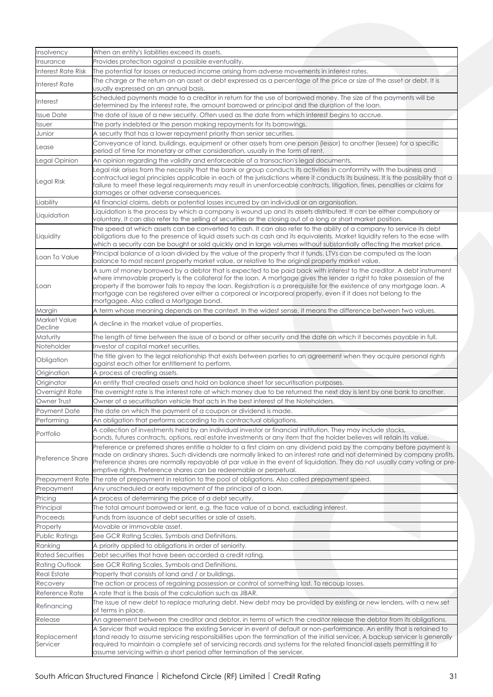| Insolvency                         | When an entity's liabilities exceed its assets.                                                                                                                                                                                                                                                                                                                                                                                                                                                                                           |  |  |  |  |  |
|------------------------------------|-------------------------------------------------------------------------------------------------------------------------------------------------------------------------------------------------------------------------------------------------------------------------------------------------------------------------------------------------------------------------------------------------------------------------------------------------------------------------------------------------------------------------------------------|--|--|--|--|--|
| Insurance                          | Provides protection against a possible eventuality.                                                                                                                                                                                                                                                                                                                                                                                                                                                                                       |  |  |  |  |  |
| Interest Rate Risk                 | The potential for losses or reduced income arising from adverse movements in interest rates.                                                                                                                                                                                                                                                                                                                                                                                                                                              |  |  |  |  |  |
| <b>Interest Rate</b>               | The charge or the return on an asset or debt expressed as a percentage of the price or size of the asset or debt. It is<br>usually expressed on an annual basis.                                                                                                                                                                                                                                                                                                                                                                          |  |  |  |  |  |
| <b>Interest</b>                    | Scheduled payments made to a creditor in return for the use of borrowed money. The size of the payments will be<br>determined by the interest rate, the amount borrowed or principal and the duration of the loan.                                                                                                                                                                                                                                                                                                                        |  |  |  |  |  |
| <b>Issue Date</b>                  | The date of issue of a new security. Often used as the date from which interest begins to accrue.                                                                                                                                                                                                                                                                                                                                                                                                                                         |  |  |  |  |  |
| Issuer                             | The party indebted or the person making repayments for its borrowings.                                                                                                                                                                                                                                                                                                                                                                                                                                                                    |  |  |  |  |  |
| Junior                             | A security that has a lower repayment priority than senior securities.                                                                                                                                                                                                                                                                                                                                                                                                                                                                    |  |  |  |  |  |
| Lease                              | Conveyance of land, buildings, equipment or other assets from one person (lessor) to another (lessee) for a specific<br>period of time for monetary or other consideration, usually in the form of rent.                                                                                                                                                                                                                                                                                                                                  |  |  |  |  |  |
| Legal Opinion                      | An opinion regarding the validity and enforceable of a transaction's legal documents.                                                                                                                                                                                                                                                                                                                                                                                                                                                     |  |  |  |  |  |
| Legal Risk                         | legal risk arises from the necessity that the bank or group conducts its activities in conformity with the business and<br>contractual legal principles applicable in each of the jurisdictions where it conducts its business. It is the possibility that a<br>failure to meet these legal requirements may result in unenforceable contracts, litigation, fines, penalties or claims for<br>damages or other adverse consequences.                                                                                                      |  |  |  |  |  |
| Liability                          | All financial claims, debts or potential losses incurred by an individual or an organisation.                                                                                                                                                                                                                                                                                                                                                                                                                                             |  |  |  |  |  |
| Liquidation                        | Liquidation is the process by which a company is wound up and its assets distributed. It can be either compulsory or<br>voluntary. It can also refer to the selling of securities or the closing out of a long or short market position.                                                                                                                                                                                                                                                                                                  |  |  |  |  |  |
| Liquidity                          | The speed at which assets can be converted to cash. It can also refer to the ability of a company to service its debt<br>obligations due to the presence of liquid assets such as cash and its equivalents. Market liquidity refers to the ease with<br>which a security can be bought or sold quickly and in large volumes without substantially affecting the market price.                                                                                                                                                             |  |  |  |  |  |
| Loan To Value                      | Principal balance of a loan divided by the value of the property that it funds. LTVs can be computed as the loan<br>balance to most recent property market value, or relative to the original property market value.                                                                                                                                                                                                                                                                                                                      |  |  |  |  |  |
| Loan                               | A sum of money borrowed by a debtor that is expected to be paid back with interest to the creditor. A debt instrument<br>where immovable property is the collateral for the loan. A mortgage gives the lender a right to take possession of the<br>property if the borrower fails to repay the loan. Registration is a prerequisite for the existence of any mortgage loan. A<br>mortgage can be registered over either a corporeal or incorporeal property, even if it does not belong to the<br>mortgagee. Also called a Mortgage bond. |  |  |  |  |  |
| Margin                             | A term whose meaning depends on the context. In the widest sense, it means the difference between two values.                                                                                                                                                                                                                                                                                                                                                                                                                             |  |  |  |  |  |
| Market Value<br>Decline            | A decline in the market value of properties.                                                                                                                                                                                                                                                                                                                                                                                                                                                                                              |  |  |  |  |  |
| Maturity                           | The length of time between the issue of a bond or other security and the date on which it becomes payable in full.                                                                                                                                                                                                                                                                                                                                                                                                                        |  |  |  |  |  |
| Noteholder                         | Investor of capital market securities.                                                                                                                                                                                                                                                                                                                                                                                                                                                                                                    |  |  |  |  |  |
| Obligation                         | The title given to the legal relationship that exists between parties to an agreement when they acquire personal rights<br>against each other for entitlement to perform.                                                                                                                                                                                                                                                                                                                                                                 |  |  |  |  |  |
| Origination                        | A process of creating assets.                                                                                                                                                                                                                                                                                                                                                                                                                                                                                                             |  |  |  |  |  |
| Originator                         | An entity that created assets and hold on balance sheet for securitisation purposes.                                                                                                                                                                                                                                                                                                                                                                                                                                                      |  |  |  |  |  |
| Overnight Rate                     | The overnight rate is the interest rate at which money due to be returned the next day is lent by one bank to another.                                                                                                                                                                                                                                                                                                                                                                                                                    |  |  |  |  |  |
| Owner Trust                        | Owner of a securitisation vehicle that acts in the best interest of the Noteholders.                                                                                                                                                                                                                                                                                                                                                                                                                                                      |  |  |  |  |  |
| Payment Date                       | The date on which the payment of a coupon or dividend is made.                                                                                                                                                                                                                                                                                                                                                                                                                                                                            |  |  |  |  |  |
| erforming                          | An obligation that performs according to its contractual obligations.                                                                                                                                                                                                                                                                                                                                                                                                                                                                     |  |  |  |  |  |
| Portfolio                          | A collection of investments held by an individual investor or financial institution. They may include stocks,<br>bonds, futures contracts, options, real estate investments or any item that the holder believes will retain its value.                                                                                                                                                                                                                                                                                                   |  |  |  |  |  |
| Preference Share                   | Preference or preferred shares entitle a holder to a first claim on any dividend paid by the company before payment is<br>made on ordinary shares. Such dividends are normally linked to an interest rate and not determined by company profits.<br>Preference shares are normally repayable at par value in the event of liquidation. They do not usually carry voting or pre-<br>emptive rights. Preference shares can be redeemable or perpetual.                                                                                      |  |  |  |  |  |
| Prepayment Rate                    | The rate of prepayment in relation to the pool of obligations. Also called prepayment speed.                                                                                                                                                                                                                                                                                                                                                                                                                                              |  |  |  |  |  |
| Prepayment                         | Any unscheduled or early repayment of the principal of a loan.                                                                                                                                                                                                                                                                                                                                                                                                                                                                            |  |  |  |  |  |
| Pricing                            | A process of determining the price of a debt security.                                                                                                                                                                                                                                                                                                                                                                                                                                                                                    |  |  |  |  |  |
| Principal                          | The total amount borrowed or lent, e.g. the face value of a bond, excluding interest.                                                                                                                                                                                                                                                                                                                                                                                                                                                     |  |  |  |  |  |
| Proceeds                           | Funds from issuance of debt securities or sale of assets.                                                                                                                                                                                                                                                                                                                                                                                                                                                                                 |  |  |  |  |  |
|                                    | Movable or immovable asset.                                                                                                                                                                                                                                                                                                                                                                                                                                                                                                               |  |  |  |  |  |
| Property<br>Public Ratings         | See GCR Rating Scales, Symbols and Definitions.                                                                                                                                                                                                                                                                                                                                                                                                                                                                                           |  |  |  |  |  |
|                                    |                                                                                                                                                                                                                                                                                                                                                                                                                                                                                                                                           |  |  |  |  |  |
| Ranking<br><b>Rated Securities</b> | A priority applied to obligations in order of seniority.<br>Debt securities that have been accorded a credit rating.                                                                                                                                                                                                                                                                                                                                                                                                                      |  |  |  |  |  |
| Rating Outlook                     | See GCR Rating Scales, Symbols and Definitions.                                                                                                                                                                                                                                                                                                                                                                                                                                                                                           |  |  |  |  |  |
|                                    |                                                                                                                                                                                                                                                                                                                                                                                                                                                                                                                                           |  |  |  |  |  |
| <b>Real Estate</b>                 | Property that consists of land and / or buildings.<br>The action or process of regaining possession or control of something lost. To recoup losses.                                                                                                                                                                                                                                                                                                                                                                                       |  |  |  |  |  |
| Recovery<br>Reference Rate         | A rate that is the basis of the calculation such as JIBAR.                                                                                                                                                                                                                                                                                                                                                                                                                                                                                |  |  |  |  |  |
| Refinancing                        | The issue of new debt to replace maturing debt. New debt may be provided by existing or new lenders, with a new set                                                                                                                                                                                                                                                                                                                                                                                                                       |  |  |  |  |  |
|                                    | of terms in place.                                                                                                                                                                                                                                                                                                                                                                                                                                                                                                                        |  |  |  |  |  |
| Release                            | An agreement between the creditor and debtor, in terms of which the creditor release the debtor from its obligations.                                                                                                                                                                                                                                                                                                                                                                                                                     |  |  |  |  |  |
| Replacement<br>Servicer            | A Servicer that would replace the existing Servicer in event of default or non-performance. An entity that is retained to<br>stand ready to assume servicing responsibilities upon the termination of the initial servicer. A backup servicer is generally<br>required to maintain a complete set of servicing records and systems for the related financial assets permitting it to<br>assume servicing within a short period after termination of the servicer.                                                                         |  |  |  |  |  |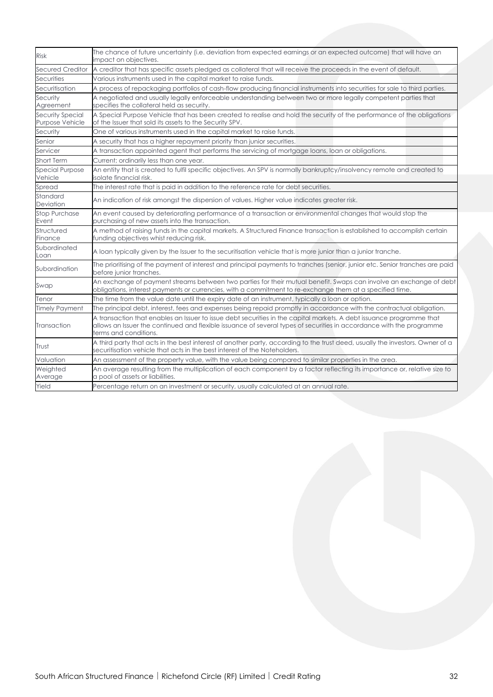| <b>Risk</b>                         | The chance of future uncertainty (i.e. deviation from expected earnings or an expected outcome) that will have an<br>impact on objectives.                                                                                                                            |  |  |  |
|-------------------------------------|-----------------------------------------------------------------------------------------------------------------------------------------------------------------------------------------------------------------------------------------------------------------------|--|--|--|
| Secured Creditor                    | A creditor that has specific assets pledged as collateral that will receive the proceeds in the event of default.                                                                                                                                                     |  |  |  |
| Securities                          | Various instruments used in the capital market to raise funds.                                                                                                                                                                                                        |  |  |  |
| Securitisation                      | A process of repackaging portfolios of cash-flow producing financial instruments into securities for sale to third parties.                                                                                                                                           |  |  |  |
| Security<br>Agreement               | A negotiated and usually legally enforceable understanding between two or more legally competent parties that<br>specifies the collateral held as security.                                                                                                           |  |  |  |
| Security Special<br>Purpose Vehicle | A Special Purpose Vehicle that has been created to realise and hold the security of the performance of the obligations<br>of the Issuer that sold its assets to the Security SPV.                                                                                     |  |  |  |
| Security                            | One of various instruments used in the capital market to raise funds.                                                                                                                                                                                                 |  |  |  |
| Senior                              | A security that has a higher repayment priority than junior securities.                                                                                                                                                                                               |  |  |  |
| Servicer                            | A transaction appointed agent that performs the servicing of mortgage loans, loan or obligations.                                                                                                                                                                     |  |  |  |
| Short Term                          | Current; ordinarily less than one year.                                                                                                                                                                                                                               |  |  |  |
| <b>Special Purpose</b><br>Vehicle   | An entity that is created to fulfil specific objectives. An SPV is normally bankruptcy/insolvency remote and created to<br>isolate financial risk.                                                                                                                    |  |  |  |
| Spread                              | The interest rate that is paid in addition to the reference rate for debt securities.                                                                                                                                                                                 |  |  |  |
| Standard<br>Deviation               | An indication of risk amongst the dispersion of values. Higher value indicates greater risk.                                                                                                                                                                          |  |  |  |
| <b>Stop Purchase</b><br>Event       | An event caused by deteriorating performance of a transaction or environmental changes that would stop the<br>purchasing of new assets into the transaction.                                                                                                          |  |  |  |
| Structured<br>Finance               | A method of raising funds in the capital markets. A Structured Finance transaction is established to accomplish certain<br>funding objectives whist reducing risk.                                                                                                    |  |  |  |
| Subordinated<br>Loan                | A loan typically given by the Issuer to the securitisation vehicle that is more junior than a junior tranche.                                                                                                                                                         |  |  |  |
| Subordination                       | The prioritising of the payment of interest and principal payments to tranches (senior, junior etc. Senior tranches are paid<br>before junior tranches.                                                                                                               |  |  |  |
| Swap                                | An exchange of payment streams between two parties for their mutual benefit. Swaps can involve an exchange of debt<br>obligations, interest payments or currencies, with a commitment to re-exchange them at a specified time.                                        |  |  |  |
| Tenor                               | The time from the value date until the expiry date of an instrument, typically a loan or option.                                                                                                                                                                      |  |  |  |
| <b>Timely Payment</b>               | The principal debt, interest, fees and expenses being repaid promptly in accordance with the contractual obligation.                                                                                                                                                  |  |  |  |
| Transaction                         | A transaction that enables an Issuer to issue debt securities in the capital markets. A debt issuance programme that<br>allows an Issuer the continued and flexible issuance of several types of securities in accordance with the programme<br>terms and conditions. |  |  |  |
| Trust                               | A third party that acts in the best interest of another party, according to the trust deed, usually the investors. Owner of a<br>securitisation vehicle that acts in the best interest of the Noteholders.                                                            |  |  |  |
| Valuation                           | An assessment of the property value, with the value being compared to similar properties in the area.                                                                                                                                                                 |  |  |  |
| Weighted<br>Average                 | An average resulting from the multiplication of each component by a factor reflecting its importance or, relative size to<br>a pool of assets or liabilities.                                                                                                         |  |  |  |
| Yield                               | Percentage return on an investment or security, usually calculated at an annual rate.                                                                                                                                                                                 |  |  |  |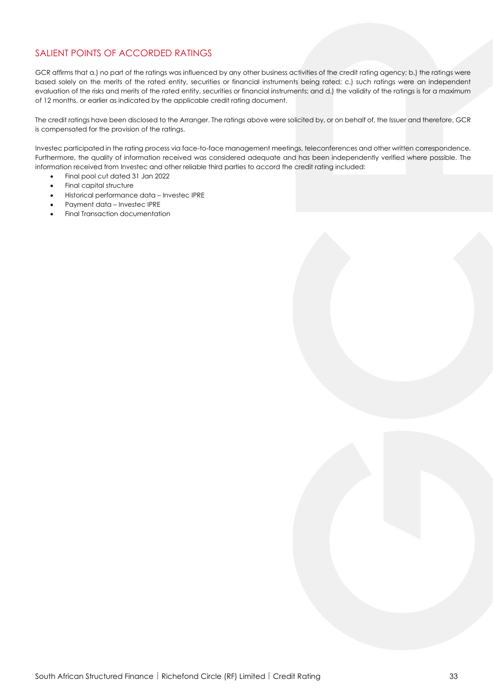## SALIENT POINTS OF ACCORDED RATINGS

GCR affirms that a.) no part of the ratings was influenced by any other business activities of the credit rating agency; b.) the ratings were based solely on the merits of the rated entity, securities or financial instruments being rated; c.) such ratings were an independent evaluation of the risks and merits of the rated entity, securities or financial instruments; and d.) the validity of the ratings is for a maximum of 12 months, or earlier as indicated by the applicable credit rating document.

The credit ratings have been disclosed to the Arranger. The ratings above were solicited by, or on behalf of, the Issuer and therefore, GCR is compensated for the provision of the ratings.

Investec participated in the rating process via face-to-face management meetings, teleconferences and other written correspondence. Furthermore, the quality of information received was considered adequate and has been independently verified where possible. The information received from Investec and other reliable third parties to accord the credit rating included:

- Final pool cut dated 31 Jan 2022
- Final capital structure
- Historical performance data Investec IPRE
- Payment data Investec IPRE
- Final Transaction documentation